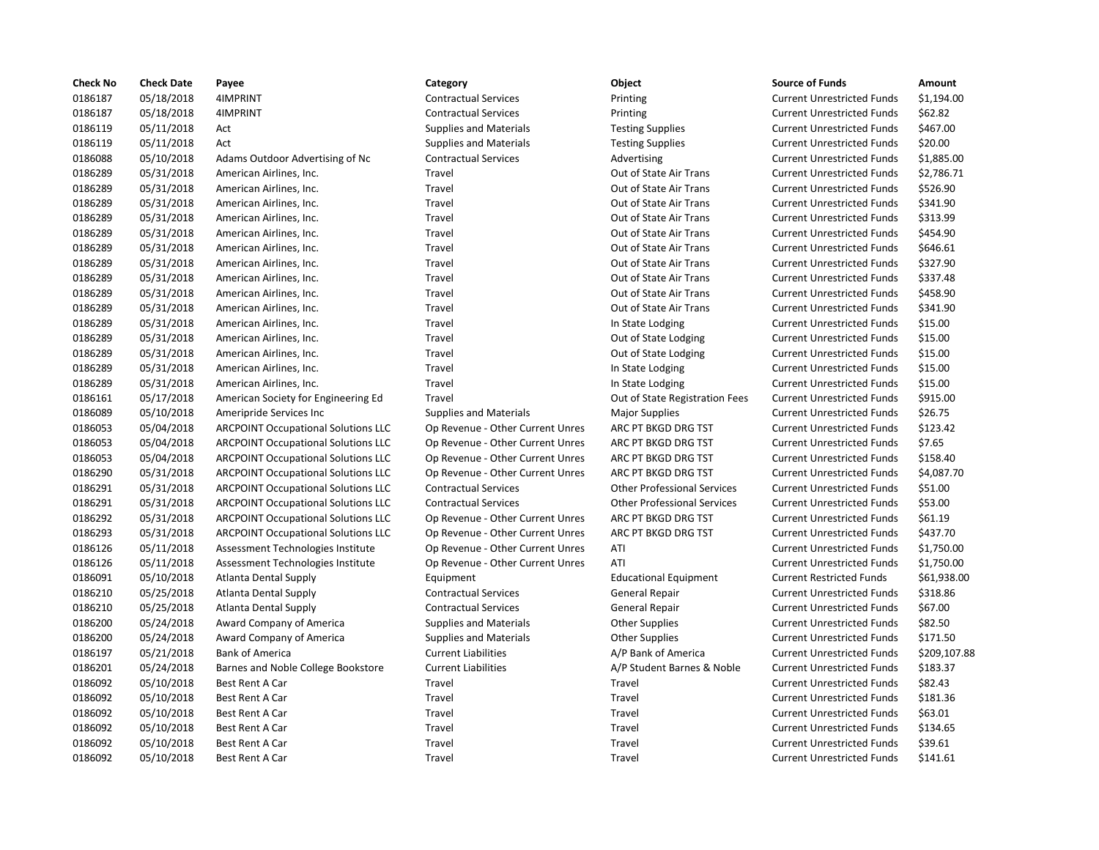| <b>Check No</b> | <b>Check Date</b> | Payee                                      | Category                         | Object                             | <b>Source of Funds</b>            | Amount       |
|-----------------|-------------------|--------------------------------------------|----------------------------------|------------------------------------|-----------------------------------|--------------|
| 0186187         | 05/18/2018        | 4IMPRINT                                   | <b>Contractual Services</b>      | Printing                           | <b>Current Unrestricted Funds</b> | \$1,194.00   |
| 0186187         | 05/18/2018        | 4IMPRINT                                   | <b>Contractual Services</b>      | Printing                           | <b>Current Unrestricted Funds</b> | \$62.82      |
| 0186119         | 05/11/2018        | Act                                        | <b>Supplies and Materials</b>    | <b>Testing Supplies</b>            | <b>Current Unrestricted Funds</b> | \$467.00     |
| 0186119         | 05/11/2018        | Act                                        | <b>Supplies and Materials</b>    | <b>Testing Supplies</b>            | <b>Current Unrestricted Funds</b> | \$20.00      |
| 0186088         | 05/10/2018        | Adams Outdoor Advertising of Nc            | <b>Contractual Services</b>      | Advertising                        | <b>Current Unrestricted Funds</b> | \$1,885.00   |
| 0186289         | 05/31/2018        | American Airlines, Inc.                    | Travel                           | Out of State Air Trans             | <b>Current Unrestricted Funds</b> | \$2,786.71   |
| 0186289         | 05/31/2018        | American Airlines, Inc.                    | Travel                           | Out of State Air Trans             | <b>Current Unrestricted Funds</b> | \$526.90     |
| 0186289         | 05/31/2018        | American Airlines, Inc.                    | Travel                           | Out of State Air Trans             | <b>Current Unrestricted Funds</b> | \$341.90     |
| 0186289         | 05/31/2018        | American Airlines, Inc.                    | Travel                           | Out of State Air Trans             | <b>Current Unrestricted Funds</b> | \$313.99     |
| 0186289         | 05/31/2018        | American Airlines, Inc.                    | Travel                           | Out of State Air Trans             | <b>Current Unrestricted Funds</b> | \$454.90     |
| 0186289         | 05/31/2018        | American Airlines, Inc.                    | Travel                           | Out of State Air Trans             | <b>Current Unrestricted Funds</b> | \$646.61     |
| 0186289         | 05/31/2018        | American Airlines, Inc.                    | Travel                           | Out of State Air Trans             | <b>Current Unrestricted Funds</b> | \$327.90     |
| 0186289         | 05/31/2018        | American Airlines, Inc.                    | Travel                           | Out of State Air Trans             | <b>Current Unrestricted Funds</b> | \$337.48     |
| 0186289         | 05/31/2018        | American Airlines, Inc.                    | Travel                           | Out of State Air Trans             | <b>Current Unrestricted Funds</b> | \$458.90     |
| 0186289         | 05/31/2018        | American Airlines, Inc.                    | Travel                           | Out of State Air Trans             | <b>Current Unrestricted Funds</b> | \$341.90     |
| 0186289         | 05/31/2018        | American Airlines, Inc.                    | Travel                           | In State Lodging                   | <b>Current Unrestricted Funds</b> | \$15.00      |
| 0186289         | 05/31/2018        | American Airlines, Inc.                    | Travel                           | Out of State Lodging               | <b>Current Unrestricted Funds</b> | \$15.00      |
| 0186289         | 05/31/2018        | American Airlines, Inc.                    | Travel                           | Out of State Lodging               | <b>Current Unrestricted Funds</b> | \$15.00      |
| 0186289         | 05/31/2018        | American Airlines, Inc.                    | Travel                           | In State Lodging                   | <b>Current Unrestricted Funds</b> | \$15.00      |
| 0186289         | 05/31/2018        | American Airlines, Inc.                    | Travel                           | In State Lodging                   | <b>Current Unrestricted Funds</b> | \$15.00      |
| 0186161         | 05/17/2018        | American Society for Engineering Ed        | Travel                           | Out of State Registration Fees     | <b>Current Unrestricted Funds</b> | \$915.00     |
| 0186089         | 05/10/2018        | Ameripride Services Inc                    | <b>Supplies and Materials</b>    | <b>Major Supplies</b>              | <b>Current Unrestricted Funds</b> | \$26.75      |
| 0186053         | 05/04/2018        | <b>ARCPOINT Occupational Solutions LLC</b> | Op Revenue - Other Current Unres | ARC PT BKGD DRG TST                | <b>Current Unrestricted Funds</b> | \$123.42     |
| 0186053         | 05/04/2018        | <b>ARCPOINT Occupational Solutions LLC</b> | Op Revenue - Other Current Unres | ARC PT BKGD DRG TST                | <b>Current Unrestricted Funds</b> | \$7.65       |
| 0186053         | 05/04/2018        | <b>ARCPOINT Occupational Solutions LLC</b> | Op Revenue - Other Current Unres | ARC PT BKGD DRG TST                | <b>Current Unrestricted Funds</b> | \$158.40     |
| 0186290         | 05/31/2018        | <b>ARCPOINT Occupational Solutions LLC</b> | Op Revenue - Other Current Unres | ARC PT BKGD DRG TST                | <b>Current Unrestricted Funds</b> | \$4,087.70   |
| 0186291         | 05/31/2018        | <b>ARCPOINT Occupational Solutions LLC</b> | <b>Contractual Services</b>      | <b>Other Professional Services</b> | <b>Current Unrestricted Funds</b> | \$51.00      |
| 0186291         | 05/31/2018        | <b>ARCPOINT Occupational Solutions LLC</b> | <b>Contractual Services</b>      | <b>Other Professional Services</b> | <b>Current Unrestricted Funds</b> | \$53.00      |
| 0186292         | 05/31/2018        | <b>ARCPOINT Occupational Solutions LLC</b> | Op Revenue - Other Current Unres | ARC PT BKGD DRG TST                | <b>Current Unrestricted Funds</b> | \$61.19      |
| 0186293         | 05/31/2018        | <b>ARCPOINT Occupational Solutions LLC</b> | Op Revenue - Other Current Unres | ARC PT BKGD DRG TST                | <b>Current Unrestricted Funds</b> | \$437.70     |
| 0186126         | 05/11/2018        | Assessment Technologies Institute          | Op Revenue - Other Current Unres | ATI                                | <b>Current Unrestricted Funds</b> | \$1,750.00   |
| 0186126         | 05/11/2018        | Assessment Technologies Institute          | Op Revenue - Other Current Unres | ATI                                | <b>Current Unrestricted Funds</b> | \$1,750.00   |
| 0186091         | 05/10/2018        | Atlanta Dental Supply                      | Equipment                        | <b>Educational Equipment</b>       | <b>Current Restricted Funds</b>   | \$61,938.00  |
| 0186210         | 05/25/2018        | <b>Atlanta Dental Supply</b>               | <b>Contractual Services</b>      | General Repair                     | <b>Current Unrestricted Funds</b> | \$318.86     |
| 0186210         | 05/25/2018        | Atlanta Dental Supply                      | <b>Contractual Services</b>      | General Repair                     | <b>Current Unrestricted Funds</b> | \$67.00      |
| 0186200         | 05/24/2018        | Award Company of America                   | <b>Supplies and Materials</b>    | <b>Other Supplies</b>              | <b>Current Unrestricted Funds</b> | \$82.50      |
| 0186200         |                   |                                            |                                  |                                    | <b>Current Unrestricted Funds</b> |              |
|                 | 05/24/2018        | Award Company of America                   | <b>Supplies and Materials</b>    | <b>Other Supplies</b>              |                                   | \$171.50     |
| 0186197         | 05/21/2018        | <b>Bank of America</b>                     | <b>Current Liabilities</b>       | A/P Bank of America                | <b>Current Unrestricted Funds</b> | \$209,107.88 |
| 0186201         | 05/24/2018        | Barnes and Noble College Bookstore         | <b>Current Liabilities</b>       | A/P Student Barnes & Noble         | <b>Current Unrestricted Funds</b> | \$183.37     |
| 0186092         | 05/10/2018        | Best Rent A Car                            | Travel                           | Travel                             | <b>Current Unrestricted Funds</b> | \$82.43      |
| 0186092         | 05/10/2018        | Best Rent A Car                            | Travel                           | Travel                             | <b>Current Unrestricted Funds</b> | \$181.36     |
| 0186092         | 05/10/2018        | Best Rent A Car                            | Travel                           | Travel                             | <b>Current Unrestricted Funds</b> | \$63.01      |
| 0186092         | 05/10/2018        | Best Rent A Car                            | Travel                           | Travel                             | <b>Current Unrestricted Funds</b> | \$134.65     |
| 0186092         | 05/10/2018        | Best Rent A Car                            | Travel                           | Travel                             | <b>Current Unrestricted Funds</b> | \$39.61      |
| 0186092         | 05/10/2018        | Best Rent A Car                            | Travel                           | Travel                             | <b>Current Unrestricted Funds</b> | \$141.61     |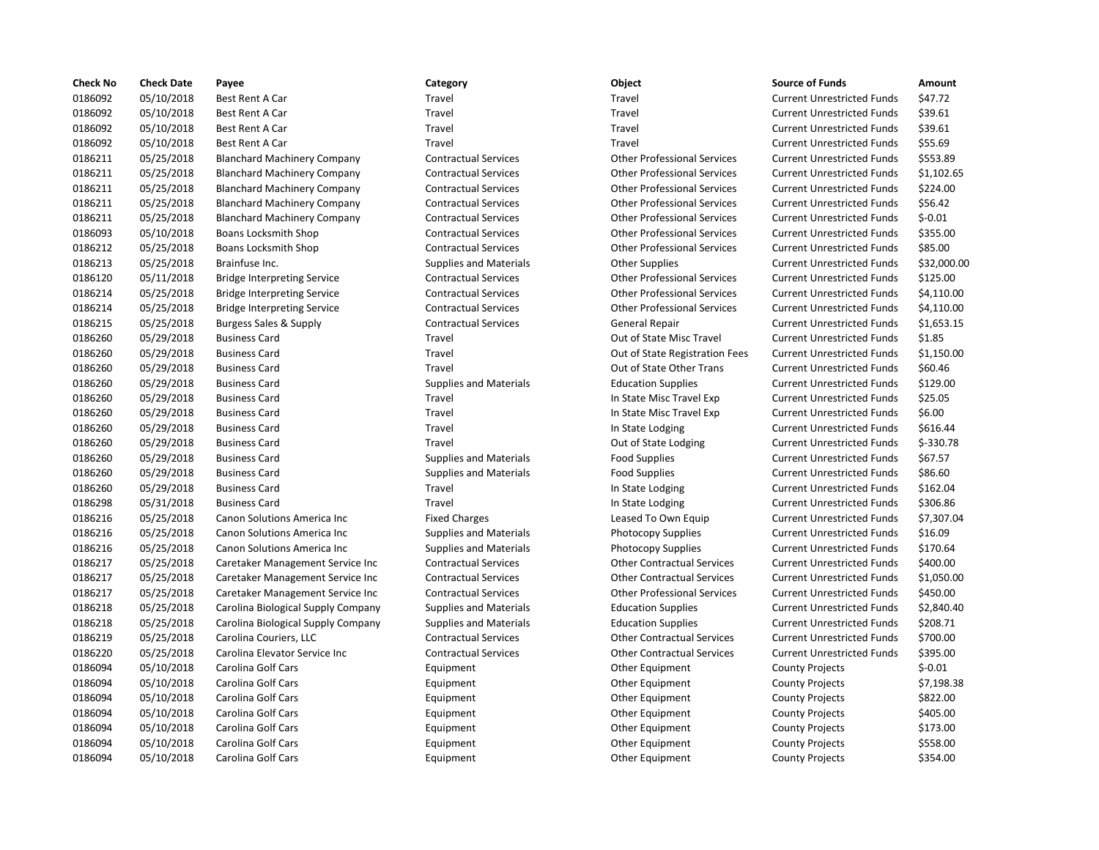| <b>Check No</b> | <b>Check Date</b> | Payee                              | Category                      | Object                             | <b>Source of Funds</b>            | Amount     |
|-----------------|-------------------|------------------------------------|-------------------------------|------------------------------------|-----------------------------------|------------|
| 0186092         | 05/10/2018        | Best Rent A Car                    | Travel                        | Travel                             | <b>Current Unrestricted Funds</b> | \$47.72    |
| 0186092         | 05/10/2018        | Best Rent A Car                    | Travel                        | Travel                             | <b>Current Unrestricted Funds</b> | \$39.61    |
| 0186092         | 05/10/2018        | Best Rent A Car                    | Travel                        | Travel                             | <b>Current Unrestricted Funds</b> | \$39.61    |
| 0186092         | 05/10/2018        | Best Rent A Car                    | Travel                        | Travel                             | <b>Current Unrestricted Funds</b> | \$55.69    |
| 0186211         | 05/25/2018        | <b>Blanchard Machinery Company</b> | <b>Contractual Services</b>   | <b>Other Professional Services</b> | <b>Current Unrestricted Funds</b> | \$553.89   |
| 0186211         | 05/25/2018        | <b>Blanchard Machinery Company</b> | <b>Contractual Services</b>   | <b>Other Professional Services</b> | <b>Current Unrestricted Funds</b> | \$1,102.65 |
| 0186211         | 05/25/2018        | <b>Blanchard Machinery Company</b> | <b>Contractual Services</b>   | <b>Other Professional Services</b> | <b>Current Unrestricted Funds</b> | \$224.00   |
| 0186211         | 05/25/2018        | <b>Blanchard Machinery Company</b> | <b>Contractual Services</b>   | <b>Other Professional Services</b> | <b>Current Unrestricted Funds</b> | \$56.42    |
| 0186211         | 05/25/2018        | <b>Blanchard Machinery Company</b> | <b>Contractual Services</b>   | <b>Other Professional Services</b> | <b>Current Unrestricted Funds</b> | $$-0.01$   |
| 0186093         | 05/10/2018        | Boans Locksmith Shop               | <b>Contractual Services</b>   | <b>Other Professional Services</b> | <b>Current Unrestricted Funds</b> | \$355.00   |
| 0186212         | 05/25/2018        | Boans Locksmith Shop               | <b>Contractual Services</b>   | <b>Other Professional Services</b> | <b>Current Unrestricted Funds</b> | \$85.00    |
| 0186213         | 05/25/2018        | Brainfuse Inc.                     | <b>Supplies and Materials</b> | <b>Other Supplies</b>              | <b>Current Unrestricted Funds</b> | \$32,000.0 |
| 0186120         | 05/11/2018        | <b>Bridge Interpreting Service</b> | <b>Contractual Services</b>   | <b>Other Professional Services</b> | <b>Current Unrestricted Funds</b> | \$125.00   |
| 0186214         | 05/25/2018        | <b>Bridge Interpreting Service</b> | <b>Contractual Services</b>   | <b>Other Professional Services</b> | <b>Current Unrestricted Funds</b> | \$4,110.00 |
| 0186214         | 05/25/2018        | <b>Bridge Interpreting Service</b> | <b>Contractual Services</b>   | <b>Other Professional Services</b> | <b>Current Unrestricted Funds</b> | \$4,110.00 |
| 0186215         | 05/25/2018        | Burgess Sales & Supply             | <b>Contractual Services</b>   | General Repair                     | <b>Current Unrestricted Funds</b> | \$1,653.15 |
| 0186260         | 05/29/2018        | <b>Business Card</b>               | Travel                        | Out of State Misc Travel           | <b>Current Unrestricted Funds</b> | \$1.85     |
| 0186260         | 05/29/2018        | <b>Business Card</b>               | Travel                        | Out of State Registration Fees     | <b>Current Unrestricted Funds</b> | \$1,150.00 |
| 0186260         | 05/29/2018        | <b>Business Card</b>               | Travel                        | Out of State Other Trans           | <b>Current Unrestricted Funds</b> | \$60.46    |
| 0186260         | 05/29/2018        | <b>Business Card</b>               | <b>Supplies and Materials</b> | <b>Education Supplies</b>          | <b>Current Unrestricted Funds</b> | \$129.00   |
| 0186260         | 05/29/2018        | <b>Business Card</b>               | Travel                        | In State Misc Travel Exp           | <b>Current Unrestricted Funds</b> | \$25.05    |
| 0186260         | 05/29/2018        | <b>Business Card</b>               | Travel                        | In State Misc Travel Exp           | <b>Current Unrestricted Funds</b> | \$6.00     |
| 0186260         | 05/29/2018        | <b>Business Card</b>               | Travel                        | In State Lodging                   | <b>Current Unrestricted Funds</b> | \$616.44   |
| 0186260         | 05/29/2018        | <b>Business Card</b>               | Travel                        | Out of State Lodging               | <b>Current Unrestricted Funds</b> | \$-330.78  |
| 0186260         | 05/29/2018        | <b>Business Card</b>               | <b>Supplies and Materials</b> | <b>Food Supplies</b>               | <b>Current Unrestricted Funds</b> | \$67.57    |
| 0186260         | 05/29/2018        | <b>Business Card</b>               | <b>Supplies and Materials</b> | <b>Food Supplies</b>               | <b>Current Unrestricted Funds</b> | \$86.60    |
| 0186260         | 05/29/2018        | <b>Business Card</b>               | Travel                        | In State Lodging                   | <b>Current Unrestricted Funds</b> | \$162.04   |
| 0186298         | 05/31/2018        | <b>Business Card</b>               | Travel                        | In State Lodging                   | <b>Current Unrestricted Funds</b> | \$306.86   |
| 0186216         | 05/25/2018        | Canon Solutions America Inc        | <b>Fixed Charges</b>          | Leased To Own Equip                | <b>Current Unrestricted Funds</b> | \$7,307.04 |
| 0186216         | 05/25/2018        | Canon Solutions America Inc        | <b>Supplies and Materials</b> | <b>Photocopy Supplies</b>          | <b>Current Unrestricted Funds</b> | \$16.09    |
| 0186216         | 05/25/2018        | Canon Solutions America Inc        | <b>Supplies and Materials</b> | <b>Photocopy Supplies</b>          | <b>Current Unrestricted Funds</b> | \$170.64   |
| 0186217         | 05/25/2018        | Caretaker Management Service Inc   | <b>Contractual Services</b>   | <b>Other Contractual Services</b>  | <b>Current Unrestricted Funds</b> | \$400.00   |
| 0186217         | 05/25/2018        | Caretaker Management Service Inc   | <b>Contractual Services</b>   | <b>Other Contractual Services</b>  | <b>Current Unrestricted Funds</b> | \$1,050.00 |
| 0186217         | 05/25/2018        | Caretaker Management Service Inc   | <b>Contractual Services</b>   | <b>Other Professional Services</b> | <b>Current Unrestricted Funds</b> | \$450.00   |
| 0186218         | 05/25/2018        | Carolina Biological Supply Company | <b>Supplies and Materials</b> | <b>Education Supplies</b>          | <b>Current Unrestricted Funds</b> | \$2,840.40 |
| 0186218         | 05/25/2018        | Carolina Biological Supply Company | <b>Supplies and Materials</b> | <b>Education Supplies</b>          | <b>Current Unrestricted Funds</b> | \$208.71   |
| 0186219         | 05/25/2018        | Carolina Couriers, LLC             | <b>Contractual Services</b>   | <b>Other Contractual Services</b>  | <b>Current Unrestricted Funds</b> | \$700.00   |
| 0186220         | 05/25/2018        | Carolina Elevator Service Inc      | <b>Contractual Services</b>   | <b>Other Contractual Services</b>  | <b>Current Unrestricted Funds</b> | \$395.00   |
| 0186094         | 05/10/2018        | Carolina Golf Cars                 | Equipment                     | Other Equipment                    | <b>County Projects</b>            | $$-0.01$   |
| 0186094         | 05/10/2018        | <b>Carolina Golf Cars</b>          | Equipment                     | Other Equipment                    | <b>County Projects</b>            | \$7,198.38 |
| 0186094         | 05/10/2018        | Carolina Golf Cars                 | Equipment                     | Other Equipment                    | <b>County Projects</b>            | \$822.00   |
| 0186094         | 05/10/2018        | Carolina Golf Cars                 | Equipment                     | Other Equipment                    | <b>County Projects</b>            | \$405.00   |
| 0186094         | 05/10/2018        | <b>Carolina Golf Cars</b>          | Equipment                     | Other Equipment                    | <b>County Projects</b>            | \$173.00   |
| 0186094         | 05/10/2018        | <b>Carolina Golf Cars</b>          | Equipment                     | Other Equipment                    | <b>County Projects</b>            | \$558.00   |
| 0186094         | 05/10/2018        | Carolina Golf Cars                 | Equipment                     | Other Equipment                    | <b>County Projects</b>            | \$354.00   |

## Travel **1202 0218 Best Rent A Current Unrestricted Funds** 547.72 Travel **1202 0218 Example 2018** Travel **Current Unrestricted Funds** 539.61 Travel **1202 0218 Example 2018** Travel **Travel Current Unrestricted Funds** 539.61 Travel **120092 120092 120092 120092 120092 120092 120092 120092 120092 120092 120092 120092 120092 120092 1200** 0186211 05/25/2018 Blanchard Machinery Company Contractual Services Other Professional Services Current Unrestricted Funds \$553.89 0186211 05/25/2018 Blanchard Machinery Company Contractual Services Other Professional Services Current Unrestricted Funds \$1,102.65 0186211 05/25/2018 Blanchard Machinery Company Contractual Services Other Professional Services Current Unrestricted Funds \$224.00 0186211 05/25/2018 Blanchard Machinery Company Contractual Services Other Professional Services Current Unrestricted Funds \$56.42 0186211 05/25/2018 Blanchard Machinery Company Contractual Services Other Professional Services Current Unrestricted Funds \$-0.01 Contractual Services **Contractual Services** Other Professional Services Current Unrestricted Funds \$355.00 0186212 05/25/2018 Boans Locksmith Shop Contractual Services Other Professional Services Current Unrestricted Funds \$85.00 0186213 05/25/2018 Brainfuse Inc. Supplies and Materials Other Supplies Current Unrestricted Funds \$32,000.00 0186120 05/11/2018 Bridge Interpreting Service Contractual Services Other Professional Services Current Unrestricted Funds \$125.00 0186214 05/25/2018 Bridge Interpreting Service Contractual Services Other Professional Services Current Unrestricted Funds \$4,110.00 0186214 05/25/2018 Bridge Interpreting Service Contractual Services Other Professional Services Current Unrestricted Funds \$4,110.00 Ontractual Services **Contractual Services** General Repair **Current Unrestricted Funds** \$1,653.15 Travel **2020 CULCU** Cut of State Misc Travel Current Unrestricted Funds 51.85 0186260 05/29/2018 Business Card Travel Out of State Registration Fees Current Unrestricted Funds \$1,150.00 Travel **12026** 2018 Cut of State Other Trans Current Unrestricted Funds \$60.46 0186260 05/29/2018 Business Card Supplies and Materials Education Supplies Current Unrestricted Funds \$129.00 Travel **12186 Current Unrestricted Funds** S25.05 0186260 05/29/2018 Business Card Travel In State Misc Travel Exp Current Unrestricted Funds \$6.00 Travel **12026 12026 In State Lodging Current Unrestricted Funds** 5616.44 Travel **1862 COM** Out of State Lodging Current Unrestricted Funds \$-330.78 0186260 05/29/2018 Business Card Supplies and Materials Food Supplies Current Unrestricted Funds \$67.57 0186260 05/29/2018 Business Card Supplies and Materials Food Supplies Current Unrestricted Funds \$86.60 Travel **12026 12186 In State Lodging Current Unrestricted Funds** 5162.04 0186298 05/31/2018 Business Card Travel In State Lodging Current Unrestricted Funds \$306.86 Fixed Charges **Canon Solutions America Inc.** Current Unrestricted Funds \$7,307.04 Supplies and Materials **Current Inc.** Current Unrestricted Funds \$16.09 Supplies and Materials **Current Unrestricted Funds** 5170.64 nc Contractual Services Contractual Services Current Unrestricted Funds \$400.00 nc Contractual Services **Careta Contractual Services** Current Unrestricted Funds \$1,050.00 nc Contractual Services **12020 Contractual Services** Other Professional Services Current Unrestricted Funds \$450.00 any Supplies and Materials **Company Company Company Supplies** Current Unrestricted Funds \$2,840.40 any Supplies and Materials **Company Company Supplies** Current Unrestricted Funds \$208.71 Contractual Services **Carolina Contractual Services** Current Unrestricted Funds \$700.00 Contractual Services **Carolina Elevator Contractual Services** Current Unrestricted Funds \$395.00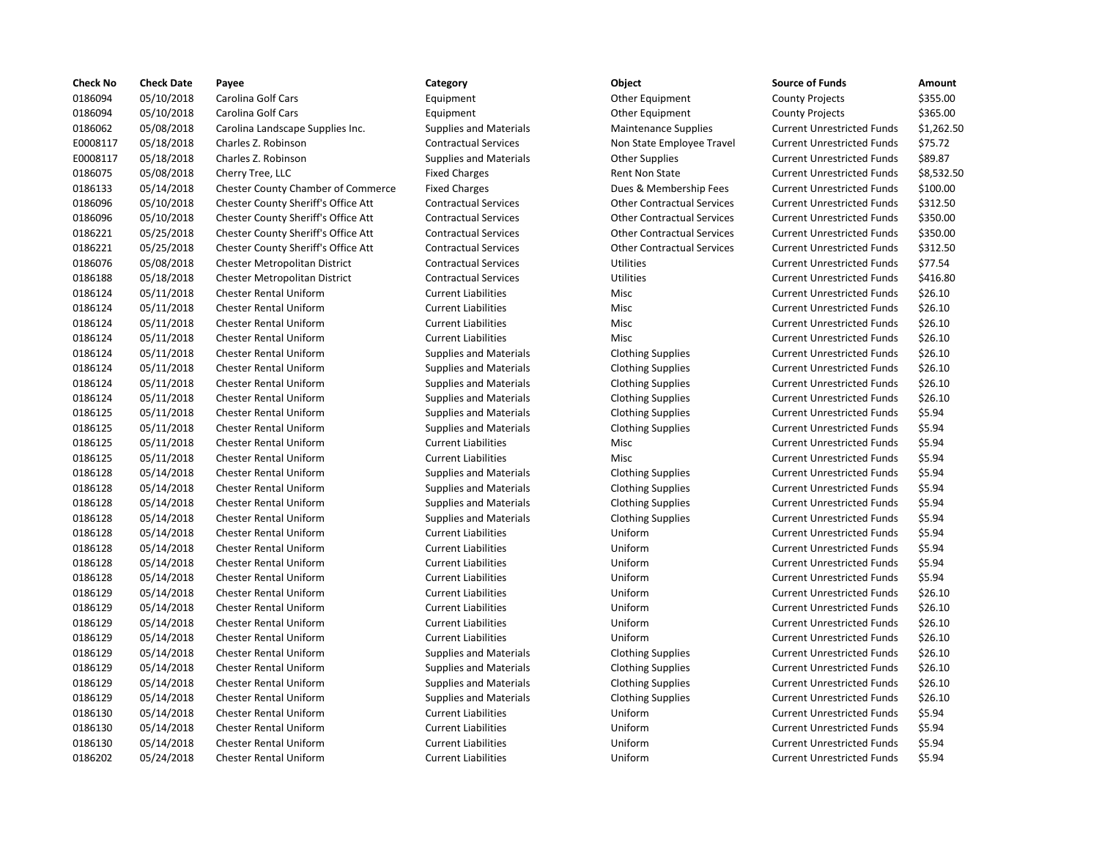| <b>Check No</b> | <b>Check Date</b> | Payee                                     | Category                      | Object                            | <b>Source of Funds</b>            | Amount     |
|-----------------|-------------------|-------------------------------------------|-------------------------------|-----------------------------------|-----------------------------------|------------|
| 0186094         | 05/10/2018        | Carolina Golf Cars                        | Equipment                     | Other Equipment                   | <b>County Projects</b>            | \$355.00   |
| 0186094         | 05/10/2018        | <b>Carolina Golf Cars</b>                 | Equipment                     | Other Equipment                   | <b>County Projects</b>            | \$365.00   |
| 0186062         | 05/08/2018        | Carolina Landscape Supplies Inc.          | <b>Supplies and Materials</b> | <b>Maintenance Supplies</b>       | <b>Current Unrestricted Funds</b> | \$1,262.50 |
| E0008117        | 05/18/2018        | Charles Z. Robinson                       | <b>Contractual Services</b>   | Non State Employee Travel         | <b>Current Unrestricted Funds</b> | \$75.72    |
| E0008117        | 05/18/2018        | Charles Z. Robinson                       | <b>Supplies and Materials</b> | <b>Other Supplies</b>             | <b>Current Unrestricted Funds</b> | \$89.87    |
| 0186075         | 05/08/2018        | Cherry Tree, LLC                          | <b>Fixed Charges</b>          | Rent Non State                    | <b>Current Unrestricted Funds</b> | \$8,532.50 |
| 0186133         | 05/14/2018        | <b>Chester County Chamber of Commerce</b> | <b>Fixed Charges</b>          | Dues & Membership Fees            | <b>Current Unrestricted Funds</b> | \$100.00   |
| 0186096         | 05/10/2018        | Chester County Sheriff's Office Att       | <b>Contractual Services</b>   | <b>Other Contractual Services</b> | <b>Current Unrestricted Funds</b> | \$312.50   |
| 0186096         | 05/10/2018        | Chester County Sheriff's Office Att       | <b>Contractual Services</b>   | <b>Other Contractual Services</b> | <b>Current Unrestricted Funds</b> | \$350.00   |
| 0186221         | 05/25/2018        | Chester County Sheriff's Office Att       | <b>Contractual Services</b>   | <b>Other Contractual Services</b> | <b>Current Unrestricted Funds</b> | \$350.00   |
| 0186221         | 05/25/2018        | Chester County Sheriff's Office Att       | <b>Contractual Services</b>   | <b>Other Contractual Services</b> | <b>Current Unrestricted Funds</b> | \$312.50   |
| 0186076         | 05/08/2018        | <b>Chester Metropolitan District</b>      | <b>Contractual Services</b>   | Utilities                         | <b>Current Unrestricted Funds</b> | \$77.54    |
| 0186188         | 05/18/2018        | Chester Metropolitan District             | <b>Contractual Services</b>   | Utilities                         | <b>Current Unrestricted Funds</b> | \$416.80   |
| 0186124         | 05/11/2018        | <b>Chester Rental Uniform</b>             | <b>Current Liabilities</b>    | Misc                              | <b>Current Unrestricted Funds</b> | \$26.10    |
| 0186124         | 05/11/2018        | <b>Chester Rental Uniform</b>             | <b>Current Liabilities</b>    | Misc                              | <b>Current Unrestricted Funds</b> | \$26.10    |
| 0186124         | 05/11/2018        | <b>Chester Rental Uniform</b>             | <b>Current Liabilities</b>    | Misc                              | <b>Current Unrestricted Funds</b> | \$26.10    |
| 0186124         | 05/11/2018        | <b>Chester Rental Uniform</b>             | <b>Current Liabilities</b>    | Misc                              | <b>Current Unrestricted Funds</b> | \$26.10    |
| 0186124         | 05/11/2018        | <b>Chester Rental Uniform</b>             | <b>Supplies and Materials</b> | <b>Clothing Supplies</b>          | <b>Current Unrestricted Funds</b> | \$26.10    |
| 0186124         | 05/11/2018        | <b>Chester Rental Uniform</b>             | <b>Supplies and Materials</b> | <b>Clothing Supplies</b>          | <b>Current Unrestricted Funds</b> | \$26.10    |
| 0186124         | 05/11/2018        | <b>Chester Rental Uniform</b>             | <b>Supplies and Materials</b> | <b>Clothing Supplies</b>          | <b>Current Unrestricted Funds</b> | \$26.10    |
| 0186124         | 05/11/2018        | <b>Chester Rental Uniform</b>             | <b>Supplies and Materials</b> | <b>Clothing Supplies</b>          | <b>Current Unrestricted Funds</b> | \$26.10    |
| 0186125         | 05/11/2018        | <b>Chester Rental Uniform</b>             | <b>Supplies and Materials</b> | <b>Clothing Supplies</b>          | <b>Current Unrestricted Funds</b> | \$5.94     |
| 0186125         | 05/11/2018        | <b>Chester Rental Uniform</b>             | <b>Supplies and Materials</b> | <b>Clothing Supplies</b>          | <b>Current Unrestricted Funds</b> | \$5.94     |
| 0186125         | 05/11/2018        | <b>Chester Rental Uniform</b>             | <b>Current Liabilities</b>    | Misc                              | <b>Current Unrestricted Funds</b> | \$5.94     |
| 0186125         | 05/11/2018        | <b>Chester Rental Uniform</b>             | <b>Current Liabilities</b>    | <b>Misc</b>                       | <b>Current Unrestricted Funds</b> | \$5.94     |
| 0186128         | 05/14/2018        | <b>Chester Rental Uniform</b>             | <b>Supplies and Materials</b> | <b>Clothing Supplies</b>          | <b>Current Unrestricted Funds</b> | \$5.94     |
| 0186128         | 05/14/2018        | <b>Chester Rental Uniform</b>             | <b>Supplies and Materials</b> | <b>Clothing Supplies</b>          | <b>Current Unrestricted Funds</b> | \$5.94     |
| 0186128         | 05/14/2018        | <b>Chester Rental Uniform</b>             | <b>Supplies and Materials</b> | <b>Clothing Supplies</b>          | <b>Current Unrestricted Funds</b> | \$5.94     |
| 0186128         | 05/14/2018        | <b>Chester Rental Uniform</b>             | <b>Supplies and Materials</b> | <b>Clothing Supplies</b>          | <b>Current Unrestricted Funds</b> | \$5.94     |
| 0186128         | 05/14/2018        | <b>Chester Rental Uniform</b>             | <b>Current Liabilities</b>    | Uniform                           | <b>Current Unrestricted Funds</b> | \$5.94     |
| 0186128         | 05/14/2018        | <b>Chester Rental Uniform</b>             | <b>Current Liabilities</b>    | Uniform                           | <b>Current Unrestricted Funds</b> | \$5.94     |
| 0186128         | 05/14/2018        | <b>Chester Rental Uniform</b>             | <b>Current Liabilities</b>    | Uniform                           | <b>Current Unrestricted Funds</b> | \$5.94     |
| 0186128         | 05/14/2018        | <b>Chester Rental Uniform</b>             | <b>Current Liabilities</b>    | Uniform                           | <b>Current Unrestricted Funds</b> | \$5.94     |
| 0186129         | 05/14/2018        | <b>Chester Rental Uniform</b>             | <b>Current Liabilities</b>    | Uniform                           | <b>Current Unrestricted Funds</b> | \$26.10    |
| 0186129         | 05/14/2018        | <b>Chester Rental Uniform</b>             | <b>Current Liabilities</b>    | Uniform                           | <b>Current Unrestricted Funds</b> | \$26.10    |
| 0186129         | 05/14/2018        | <b>Chester Rental Uniform</b>             | <b>Current Liabilities</b>    | Uniform                           | <b>Current Unrestricted Funds</b> | \$26.10    |
| 0186129         | 05/14/2018        | <b>Chester Rental Uniform</b>             | <b>Current Liabilities</b>    | Uniform                           | <b>Current Unrestricted Funds</b> | \$26.10    |
| 0186129         | 05/14/2018        | <b>Chester Rental Uniform</b>             | <b>Supplies and Materials</b> | <b>Clothing Supplies</b>          | <b>Current Unrestricted Funds</b> | \$26.10    |
| 0186129         | 05/14/2018        | <b>Chester Rental Uniform</b>             | <b>Supplies and Materials</b> | <b>Clothing Supplies</b>          | <b>Current Unrestricted Funds</b> | \$26.10    |
| 0186129         | 05/14/2018        | <b>Chester Rental Uniform</b>             | <b>Supplies and Materials</b> | <b>Clothing Supplies</b>          | <b>Current Unrestricted Funds</b> | \$26.10    |
| 0186129         | 05/14/2018        | <b>Chester Rental Uniform</b>             | <b>Supplies and Materials</b> | <b>Clothing Supplies</b>          | <b>Current Unrestricted Funds</b> | \$26.10    |
| 0186130         | 05/14/2018        | Chester Rental Uniform                    | <b>Current Liabilities</b>    | Uniform                           | <b>Current Unrestricted Funds</b> | \$5.94     |
| 0186130         | 05/14/2018        | <b>Chester Rental Uniform</b>             | <b>Current Liabilities</b>    | Uniform                           | <b>Current Unrestricted Funds</b> | \$5.94     |
| 0186130         | 05/14/2018        | <b>Chester Rental Uniform</b>             | <b>Current Liabilities</b>    | Uniform                           | <b>Current Unrestricted Funds</b> | \$5.94     |
| 0186202         | 05/24/2018        | <b>Chester Rental Uniform</b>             | <b>Current Liabilities</b>    | Uniform                           | <b>Current Unrestricted Funds</b> | \$5.94     |

# Contractual Services Non State Employee Travel Supplies and Materials **Communisher Supplies and Materials Current Current Current Current Current Current Current Current Current Current Current Current Current Current Current Current Current Current Current Current Cur** The Charges Chamber County Chamber of County Chambership Fees Current Units & Membership Fees Contractual Services **Contractual Services** Contractual Services Contractual Services **Contractual Services** Contractual Services Contractual Services Contractual Services Contractual Services Contractual Services **Contractual Services** Other Contractual Services Supplies and Materials **Clothing Supplies** Supplies and Materials **Clothing Supplies** Supplies and Materials **Clothing Supplies** Supplies and Materials **Clothing Supplies** Supplies and Materials **Clothing Supplies** Supplies and Materials **Clothing Supplies** Current Current Current Current Current Current Current Current Current Current Current Current Current Current Current Current Current Current Current Current Current Current Cur Supplies and Materials **Clothing Supplies** Supplies and Materials **Clothing Supplies** Supplies and Materials **Clothing Supplies** Supplies and Materials **Clothing Supplies** Supplies and Materials **Clothing Supplies** Supplies and Materials **Clothing Supplies** Supplies and Materials **Clothing Supplies** Supplies and Materials **Clothing Supplies** 0186202 05/24/2018 Chester Rental Uniform Current Liabilities Uniform Current Unrestricted Funds \$5.94

| Category                            | Object                            | <b>Source of Funds</b>                               | Amount                     |
|-------------------------------------|-----------------------------------|------------------------------------------------------|----------------------------|
| Equipment                           | Other Equipment                   | <b>County Projects</b>                               | \$355.00                   |
| Equipment                           | Other Equipment                   | <b>County Projects</b>                               | \$365.00                   |
| <b>Supplies and Materials</b>       | <b>Maintenance Supplies</b>       | <b>Current Unrestricted Funds</b>                    | \$1,262.50                 |
| <b>Contractual Services</b>         | Non State Employee Travel         | <b>Current Unrestricted Funds</b>                    | \$75.72                    |
| <b>Supplies and Materials</b>       | <b>Other Supplies</b>             | <b>Current Unrestricted Funds</b>                    | \$89.87                    |
| <b>Fixed Charges</b>                | <b>Rent Non State</b>             | <b>Current Unrestricted Funds</b>                    | \$8,532.50                 |
| <b>Fixed Charges</b>                | Dues & Membership Fees            | <b>Current Unrestricted Funds</b>                    | \$100.00                   |
| <b>Contractual Services</b>         | <b>Other Contractual Services</b> | <b>Current Unrestricted Funds</b>                    | \$312.50                   |
| <b>Contractual Services</b>         | <b>Other Contractual Services</b> | <b>Current Unrestricted Funds</b>                    | \$350.00                   |
| <b>Contractual Services</b>         | <b>Other Contractual Services</b> | <b>Current Unrestricted Funds</b>                    | \$350.00                   |
| <b>Contractual Services</b>         | <b>Other Contractual Services</b> | <b>Current Unrestricted Funds</b>                    | \$312.50                   |
| <b>Contractual Services</b>         | Utilities                         | <b>Current Unrestricted Funds</b>                    | \$77.54                    |
| <b>Contractual Services</b>         | Utilities                         | <b>Current Unrestricted Funds</b>                    | \$416.80                   |
| <b>Current Liabilities</b>          | Misc                              | <b>Current Unrestricted Funds</b>                    | \$26.10                    |
| <b>Current Liabilities</b>          | <b>Misc</b>                       | <b>Current Unrestricted Funds</b>                    | \$26.10                    |
| <b>Current Liabilities</b>          | Misc                              | <b>Current Unrestricted Funds</b>                    | \$26.10                    |
| <b>Current Liabilities</b>          | Misc                              | <b>Current Unrestricted Funds</b>                    | \$26.10                    |
| <b>Supplies and Materials</b>       | <b>Clothing Supplies</b>          | <b>Current Unrestricted Funds</b>                    | \$26.10                    |
| <b>Supplies and Materials</b>       | <b>Clothing Supplies</b>          | <b>Current Unrestricted Funds</b>                    | \$26.10                    |
| <b>Supplies and Materials</b>       | <b>Clothing Supplies</b>          | <b>Current Unrestricted Funds</b>                    | \$26.10                    |
| <b>Supplies and Materials</b>       | <b>Clothing Supplies</b>          | <b>Current Unrestricted Funds</b>                    | \$26.10                    |
| <b>Supplies and Materials</b>       | <b>Clothing Supplies</b>          | <b>Current Unrestricted Funds</b>                    | \$5.94                     |
| <b>Supplies and Materials</b>       | <b>Clothing Supplies</b>          | <b>Current Unrestricted Funds</b>                    | \$5.94                     |
| <b>Current Liabilities</b>          | Misc                              | <b>Current Unrestricted Funds</b>                    | \$5.94                     |
| <b>Current Liabilities</b>          | <b>Misc</b>                       | <b>Current Unrestricted Funds</b>                    | \$5.94                     |
| <b>Supplies and Materials</b>       | <b>Clothing Supplies</b>          | <b>Current Unrestricted Funds</b>                    | \$5.94                     |
| <b>Supplies and Materials</b>       | <b>Clothing Supplies</b>          | <b>Current Unrestricted Funds</b>                    | \$5.94                     |
| <b>Supplies and Materials</b>       | <b>Clothing Supplies</b>          | <b>Current Unrestricted Funds</b>                    | \$5.94                     |
| <b>Supplies and Materials</b>       | <b>Clothing Supplies</b>          | <b>Current Unrestricted Funds</b>                    | \$5.94                     |
| <b>Current Liabilities</b>          | Uniform                           | <b>Current Unrestricted Funds</b>                    | \$5.94                     |
| <b>Current Liabilities</b>          | Uniform                           | <b>Current Unrestricted Funds</b>                    | \$5.94                     |
| <b>Current Liabilities</b>          | Uniform                           | <b>Current Unrestricted Funds</b>                    | \$5.94                     |
| <b>Current Liabilities</b>          | Uniform                           | <b>Current Unrestricted Funds</b>                    | \$5.94                     |
| <b>Current Liabilities</b>          | Uniform                           | <b>Current Unrestricted Funds</b>                    | \$26.10                    |
| <b>Current Liabilities</b>          | Uniform                           | <b>Current Unrestricted Funds</b>                    | \$26.10                    |
| <b>Current Liabilities</b>          | Uniform                           | <b>Current Unrestricted Funds</b>                    | \$26.10                    |
| <b>Current Liabilities</b>          | Uniform                           | <b>Current Unrestricted Funds</b>                    | \$26.10                    |
| <b>Supplies and Materials</b>       | <b>Clothing Supplies</b>          | <b>Current Unrestricted Funds</b>                    | \$26.10                    |
| <b>Supplies and Materials</b>       | <b>Clothing Supplies</b>          | <b>Current Unrestricted Funds</b>                    | \$26.10                    |
| <b>Supplies and Materials</b>       | <b>Clothing Supplies</b>          | <b>Current Unrestricted Funds</b>                    | \$26.10                    |
| <b>Supplies and Materials</b>       | <b>Clothing Supplies</b>          | <b>Current Unrestricted Funds</b>                    | \$26.10                    |
| <b>Current Liabilities</b>          | Uniform                           | <b>Current Unrestricted Funds</b>                    | \$5.94                     |
| <b>Current Liabilities</b>          | Uniform                           | <b>Current Unrestricted Funds</b>                    | \$5.94                     |
| <b>Current Liabilities</b>          | Uniform                           | <b>Current Unrestricted Funds</b>                    | \$5.94                     |
| ويمتلئنا توالمتنا القويموسون والمحا | $1.1 - 1.0 - 1.0$                 | $C_{\rm{total}}$ and it is a special stand. From the | $\sigma$ $\sigma$ $\sigma$ |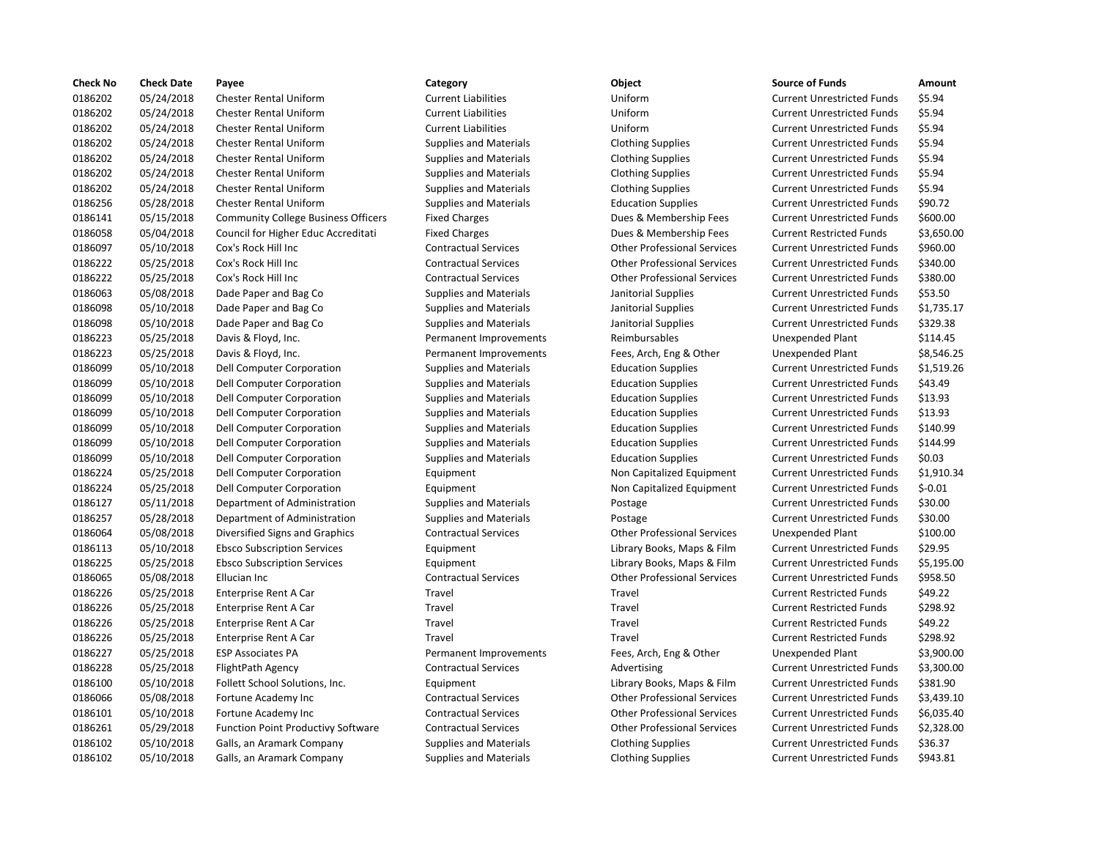| <b>Check No</b> | <b>Check Date</b> | Payee                                      | Category                      | Object                             | <b>Source of Funds</b>            | Amount    |
|-----------------|-------------------|--------------------------------------------|-------------------------------|------------------------------------|-----------------------------------|-----------|
| 0186202         | 05/24/2018        | <b>Chester Rental Uniform</b>              | <b>Current Liabilities</b>    | Uniform                            | <b>Current Unrestricted Funds</b> | \$5.94    |
| 0186202         | 05/24/2018        | <b>Chester Rental Uniform</b>              | <b>Current Liabilities</b>    | Uniform                            | <b>Current Unrestricted Funds</b> | \$5.94    |
| 0186202         | 05/24/2018        | <b>Chester Rental Uniform</b>              | <b>Current Liabilities</b>    | Uniform                            | <b>Current Unrestricted Funds</b> | \$5.94    |
| 0186202         | 05/24/2018        | <b>Chester Rental Uniform</b>              | <b>Supplies and Materials</b> | <b>Clothing Supplies</b>           | <b>Current Unrestricted Funds</b> | \$5.94    |
| 0186202         | 05/24/2018        | <b>Chester Rental Uniform</b>              | <b>Supplies and Materials</b> | <b>Clothing Supplies</b>           | <b>Current Unrestricted Funds</b> | \$5.94    |
| 0186202         | 05/24/2018        | <b>Chester Rental Uniform</b>              | <b>Supplies and Materials</b> | <b>Clothing Supplies</b>           | <b>Current Unrestricted Funds</b> | \$5.94    |
| 0186202         | 05/24/2018        | <b>Chester Rental Uniform</b>              | <b>Supplies and Materials</b> | <b>Clothing Supplies</b>           | <b>Current Unrestricted Funds</b> | \$5.94    |
| 0186256         | 05/28/2018        | <b>Chester Rental Uniform</b>              | <b>Supplies and Materials</b> | <b>Education Supplies</b>          | <b>Current Unrestricted Funds</b> | \$90.72   |
| 0186141         | 05/15/2018        | <b>Community College Business Officers</b> | <b>Fixed Charges</b>          | Dues & Membership Fees             | <b>Current Unrestricted Funds</b> | \$600.00  |
| 0186058         | 05/04/2018        | Council for Higher Educ Accreditati        | <b>Fixed Charges</b>          | Dues & Membership Fees             | <b>Current Restricted Funds</b>   | \$3,650.0 |
| 0186097         | 05/10/2018        | Cox's Rock Hill Inc                        | <b>Contractual Services</b>   | <b>Other Professional Services</b> | <b>Current Unrestricted Funds</b> | \$960.00  |
| 0186222         | 05/25/2018        | Cox's Rock Hill Inc                        | <b>Contractual Services</b>   | <b>Other Professional Services</b> | <b>Current Unrestricted Funds</b> | \$340.00  |
| 0186222         | 05/25/2018        | Cox's Rock Hill Inc                        | <b>Contractual Services</b>   | <b>Other Professional Services</b> | <b>Current Unrestricted Funds</b> | \$380.00  |
| 0186063         | 05/08/2018        | Dade Paper and Bag Co                      | <b>Supplies and Materials</b> | Janitorial Supplies                | <b>Current Unrestricted Funds</b> | \$53.50   |
| 0186098         | 05/10/2018        | Dade Paper and Bag Co                      | <b>Supplies and Materials</b> | Janitorial Supplies                | <b>Current Unrestricted Funds</b> | \$1,735.1 |
| 0186098         | 05/10/2018        | Dade Paper and Bag Co                      | <b>Supplies and Materials</b> | Janitorial Supplies                | <b>Current Unrestricted Funds</b> | \$329.38  |
| 0186223         | 05/25/2018        | Davis & Floyd, Inc.                        | Permanent Improvements        | Reimbursables                      | <b>Unexpended Plant</b>           | \$114.45  |
| 0186223         | 05/25/2018        | Davis & Floyd, Inc.                        | Permanent Improvements        | Fees, Arch, Eng & Other            | Unexpended Plant                  | \$8,546.2 |
| 0186099         | 05/10/2018        | Dell Computer Corporation                  | <b>Supplies and Materials</b> | <b>Education Supplies</b>          | <b>Current Unrestricted Funds</b> | \$1,519.2 |
| 0186099         | 05/10/2018        | Dell Computer Corporation                  | <b>Supplies and Materials</b> | <b>Education Supplies</b>          | <b>Current Unrestricted Funds</b> | \$43.49   |
| 0186099         | 05/10/2018        | Dell Computer Corporation                  | <b>Supplies and Materials</b> | <b>Education Supplies</b>          | <b>Current Unrestricted Funds</b> | \$13.93   |
| 0186099         | 05/10/2018        | Dell Computer Corporation                  | <b>Supplies and Materials</b> | <b>Education Supplies</b>          | <b>Current Unrestricted Funds</b> | \$13.93   |
| 0186099         | 05/10/2018        | Dell Computer Corporation                  | <b>Supplies and Materials</b> | <b>Education Supplies</b>          | <b>Current Unrestricted Funds</b> | \$140.99  |
| 0186099         | 05/10/2018        | <b>Dell Computer Corporation</b>           | <b>Supplies and Materials</b> | <b>Education Supplies</b>          | <b>Current Unrestricted Funds</b> | \$144.99  |
| 0186099         | 05/10/2018        | Dell Computer Corporation                  | <b>Supplies and Materials</b> | <b>Education Supplies</b>          | <b>Current Unrestricted Funds</b> | \$0.03    |
| 0186224         | 05/25/2018        | Dell Computer Corporation                  | Equipment                     | Non Capitalized Equipment          | <b>Current Unrestricted Funds</b> | \$1,910.3 |
| 0186224         | 05/25/2018        | Dell Computer Corporation                  | Equipment                     | Non Capitalized Equipment          | <b>Current Unrestricted Funds</b> | $$-0.01$  |
| 0186127         | 05/11/2018        | Department of Administration               | <b>Supplies and Materials</b> | Postage                            | <b>Current Unrestricted Funds</b> | \$30.00   |
| 0186257         | 05/28/2018        | Department of Administration               | <b>Supplies and Materials</b> | Postage                            | <b>Current Unrestricted Funds</b> | \$30.00   |
| 0186064         | 05/08/2018        | Diversified Signs and Graphics             | <b>Contractual Services</b>   | <b>Other Professional Services</b> | <b>Unexpended Plant</b>           | \$100.00  |
| 0186113         | 05/10/2018        | <b>Ebsco Subscription Services</b>         | Equipment                     | Library Books, Maps & Film         | <b>Current Unrestricted Funds</b> | \$29.95   |
| 0186225         | 05/25/2018        | <b>Ebsco Subscription Services</b>         | Equipment                     | Library Books, Maps & Film         | <b>Current Unrestricted Funds</b> | \$5,195.0 |
| 0186065         | 05/08/2018        | Ellucian Inc                               | <b>Contractual Services</b>   | <b>Other Professional Services</b> | <b>Current Unrestricted Funds</b> | \$958.50  |
| 0186226         | 05/25/2018        | Enterprise Rent A Car                      | Travel                        | Travel                             | <b>Current Restricted Funds</b>   | \$49.22   |
| 0186226         | 05/25/2018        | Enterprise Rent A Car                      | Travel                        | Travel                             | <b>Current Restricted Funds</b>   | \$298.92  |
| 0186226         | 05/25/2018        | Enterprise Rent A Car                      | Travel                        | Travel                             | <b>Current Restricted Funds</b>   | \$49.22   |
| 0186226         | 05/25/2018        | Enterprise Rent A Car                      | Travel                        | Travel                             | <b>Current Restricted Funds</b>   | \$298.92  |
| 0186227         | 05/25/2018        | <b>ESP Associates PA</b>                   | Permanent Improvements        | Fees, Arch, Eng & Other            | <b>Unexpended Plant</b>           | \$3,900.0 |
| 0186228         | 05/25/2018        | FlightPath Agency                          | <b>Contractual Services</b>   | Advertising                        | <b>Current Unrestricted Funds</b> | \$3,300.0 |
| 0186100         | 05/10/2018        | Follett School Solutions, Inc.             | Equipment                     | Library Books, Maps & Film         | <b>Current Unrestricted Funds</b> | \$381.90  |
| 0186066         | 05/08/2018        | Fortune Academy Inc                        | <b>Contractual Services</b>   | <b>Other Professional Services</b> | <b>Current Unrestricted Funds</b> | \$3,439.1 |
| 0186101         | 05/10/2018        | Fortune Academy Inc                        | <b>Contractual Services</b>   | <b>Other Professional Services</b> | <b>Current Unrestricted Funds</b> | \$6,035.4 |
| 0186261         | 05/29/2018        | <b>Function Point Productivy Software</b>  | <b>Contractual Services</b>   | <b>Other Professional Services</b> | <b>Current Unrestricted Funds</b> | \$2,328.0 |
| 0186102         | 05/10/2018        | Galls, an Aramark Company                  | <b>Supplies and Materials</b> | <b>Clothing Supplies</b>           | <b>Current Unrestricted Funds</b> | \$36.37   |
| 0186102         | 05/10/2018        | Galls, an Aramark Company                  | <b>Supplies and Materials</b> | <b>Clothing Supplies</b>           | <b>Current Unrestricted Funds</b> | \$943.81  |

## 05/24/2018 Chester Rental Uniform Current Liabilities Uniform Current Unrestricted Funds \$5.94 05/24/2018 Chester Rental Uniform Current Liabilities Uniform Current Unrestricted Funds \$5.94 05/24/2018 Chester Rental Uniform Current Liabilities Uniform Current Unrestricted Funds \$5.94 Supplies and Materials **Clothing Supplies Current Unrestricted Funds** 55.94 Supplies and Materials **Clothing Supplies Current Unrestricted Funds** \$5.94 Supplies and Materials **Clothing Supplies Current Unrestricted Funds** \$5.94 Supplies and Materials **Clothing Supplies Current Unrestricted Funds** \$5.94 Supplies and Materials **Current Unit Current Unit Current Units Current Units Current Current Current Current Current Current Current Current Only 0.590.72**  05/15/2018 Community College Business Officers Fixed Charges Dues & Membership Fees Current Unrestricted Funds \$600.00 Fixed Charges **1.2018 Council Fixed Council Fixed Current Restricted Funds** 53,650.00 05/10/2018 Cox's Rock Hill Inc Contractual Services Other Professional Services Current Unrestricted Funds \$960.00 05/25/2018 Cox's Rock Hill Inc Contractual Services Other Professional Services Current Unrestricted Funds \$340.00 Contractual Services **Contractual Services** Other Professional Services Current Unrestricted Funds \$380.00 05/08/2018 Dade Paper and Bag Co Supplies and Materials Janitorial Supplies Current Unrestricted Funds \$53.50 05/10/2018 Dade Paper and Bag Co Supplies and Materials Janitorial Supplies Current Unrestricted Funds \$1,735.17 05/10/2018 Dade Paper and Bag Co Supplies and Materials Janitorial Supplies Current Unrestricted Funds \$329.38 Permanent Improvements Reimbursables Unexpended Plant \$114.45 Permanent Improvements Fees, Arch, Eng & Other Unexpended Plant \$8,546.25 05/10/2018 Dell Computer Corporation Supplies and Materials Education Supplies Current Unrestricted Funds \$1,519.26 05/10/2018 Dell Computer Corporation Supplies and Materials Education Supplies Current Unrestricted Funds \$43.49 05/10/2018 Dell Computer Corporation Supplies and Materials Education Supplies Current Unrestricted Funds \$13.93 05/10/2018 Dell Computer Corporation Supplies and Materials Education Supplies Current Unrestricted Funds \$13.93 05/10/2018 Dell Computer Corporation Supplies and Materials Education Supplies Current Unrestricted Funds \$140.99 05/10/2018 Dell Computer Corporation Supplies and Materials Education Supplies Current Unrestricted Funds \$144.99 05/10/2018 Dell Computer Corporation Supplies and Materials Education Supplies Current Unrestricted Funds \$0.03 Equipment **12021 1202 1202 224 05/2018 Department** Current Unrestricted Funds \$1,910.34 05/25/2018 Dell Computer Corporation Equipment Non Capitalized Equipment Current Unrestricted Funds \$-0.01 05/11/2018 Department of Administration Supplies and Materials Postage Current Unrestricted Funds \$30.00 05/28/2018 Department of Administration Supplies and Materials Postage Current Unrestricted Funds \$30.00 05/08/2018 Diversified Signs and Graphics Contractual Services Other Professional Services Unexpended Plant \$100.00 05/10/2018 Ebsco Subscription Services Equipment Library Books, Maps & Film Current Unrestricted Funds \$29.95 05/25/2018 Ebsco Subscription Services Equipment Library Books, Maps & Film Current Unrestricted Funds \$5,195.00 Contractual Services **Contractual Services** Other Professional Services Current Unrestricted Funds \$958.50 05/25/2018 Enterprise Rent A Car Travel Travel Current Restricted Funds \$298.92 Travel **Enterprise Current A Current Restricted Funds** 5298.92 Permanent Improvements Fees, Arch, Eng & Other Unexpended Plant \$3,900.00 Contractual Services **1202 Contractual Services** Advertising Current Unrestricted Funds \$3,300.00 05/10/2018 Follett School Solutions, Inc. Equipment Library Books, Maps & Film Current Unrestricted Funds \$381.90 Contractual Services **For Contractual Services** Other Professional Services Current Unrestricted Funds \$3,439.10 Contractual Services **For Contractual Services** Other Professional Services Current Unrestricted Funds \$6,035.40 05/29/2018 Function Point Productivy Software Contractual Services Other Professional Services Current Unrestricted Funds \$2,328.00 05/10/2018 Galls, an Aramark Company Supplies and Materials Clothing Supplies Current Unrestricted Funds \$36.37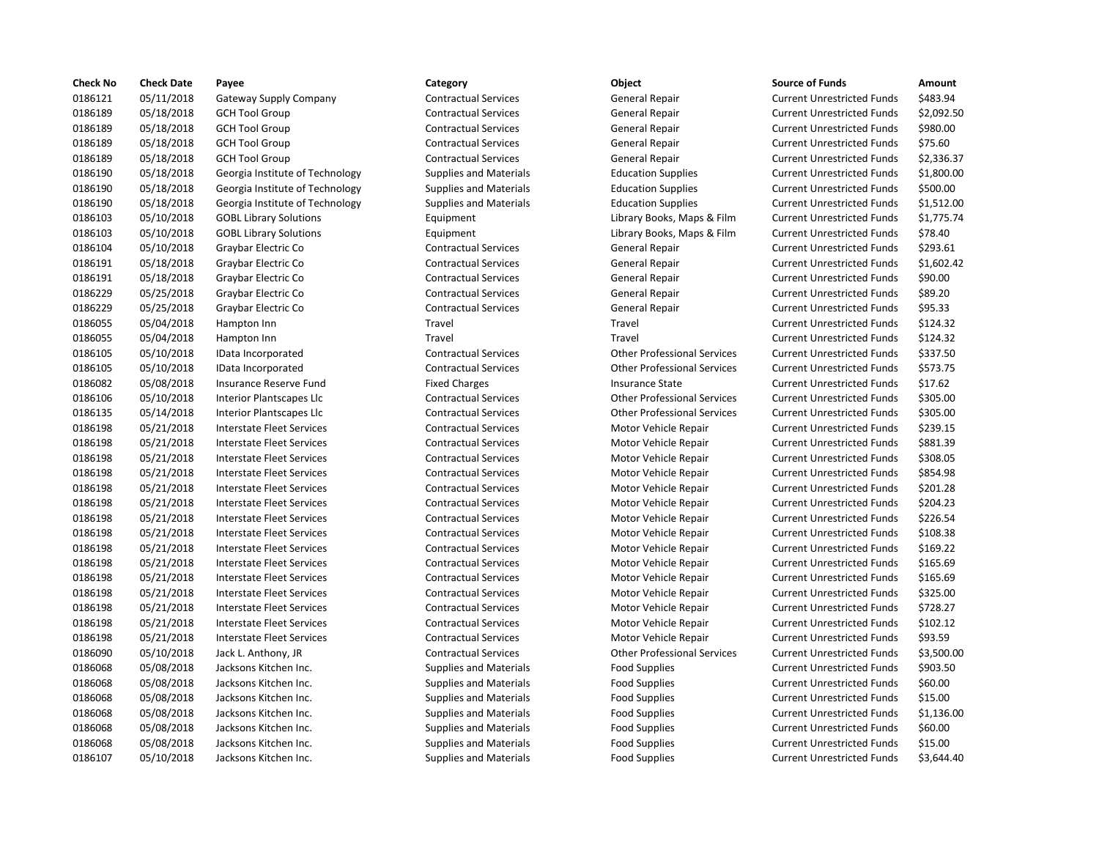| <b>Check No</b> | <b>Check Date</b> | Payee                            | Category                      | Object                             | <b>Source of Funds</b>            | Amount    |
|-----------------|-------------------|----------------------------------|-------------------------------|------------------------------------|-----------------------------------|-----------|
| 0186121         | 05/11/2018        | Gateway Supply Company           | <b>Contractual Services</b>   | General Repair                     | <b>Current Unrestricted Funds</b> | \$483.94  |
| 0186189         | 05/18/2018        | <b>GCH Tool Group</b>            | <b>Contractual Services</b>   | General Repair                     | <b>Current Unrestricted Funds</b> | \$2,092.5 |
| 0186189         | 05/18/2018        | <b>GCH Tool Group</b>            | <b>Contractual Services</b>   | General Repair                     | <b>Current Unrestricted Funds</b> | \$980.00  |
| 0186189         | 05/18/2018        | <b>GCH Tool Group</b>            | <b>Contractual Services</b>   | General Repair                     | <b>Current Unrestricted Funds</b> | \$75.60   |
| 0186189         | 05/18/2018        | <b>GCH Tool Group</b>            | <b>Contractual Services</b>   | <b>General Repair</b>              | <b>Current Unrestricted Funds</b> | \$2,336.3 |
| 0186190         | 05/18/2018        | Georgia Institute of Technology  | <b>Supplies and Materials</b> | <b>Education Supplies</b>          | <b>Current Unrestricted Funds</b> | \$1,800.0 |
| 0186190         | 05/18/2018        | Georgia Institute of Technology  | <b>Supplies and Materials</b> | <b>Education Supplies</b>          | <b>Current Unrestricted Funds</b> | \$500.00  |
| 0186190         | 05/18/2018        | Georgia Institute of Technology  | <b>Supplies and Materials</b> | <b>Education Supplies</b>          | <b>Current Unrestricted Funds</b> | \$1,512.0 |
| 0186103         | 05/10/2018        | <b>GOBL Library Solutions</b>    | Equipment                     | Library Books, Maps & Film         | <b>Current Unrestricted Funds</b> | \$1,775.7 |
| 0186103         | 05/10/2018        | <b>GOBL Library Solutions</b>    | Equipment                     | Library Books, Maps & Film         | <b>Current Unrestricted Funds</b> | \$78.40   |
| 0186104         | 05/10/2018        | Graybar Electric Co              | <b>Contractual Services</b>   | General Repair                     | <b>Current Unrestricted Funds</b> | \$293.61  |
| 0186191         | 05/18/2018        | Graybar Electric Co              | <b>Contractual Services</b>   | General Repair                     | <b>Current Unrestricted Funds</b> | \$1,602.4 |
| 0186191         | 05/18/2018        | Graybar Electric Co              | <b>Contractual Services</b>   | General Repair                     | <b>Current Unrestricted Funds</b> | \$90.00   |
| 0186229         | 05/25/2018        | Graybar Electric Co              | <b>Contractual Services</b>   | General Repair                     | <b>Current Unrestricted Funds</b> | \$89.20   |
| 0186229         | 05/25/2018        | Graybar Electric Co              | <b>Contractual Services</b>   | General Repair                     | <b>Current Unrestricted Funds</b> | \$95.33   |
| 0186055         | 05/04/2018        | Hampton Inn                      | Travel                        | Travel                             | <b>Current Unrestricted Funds</b> | \$124.32  |
| 0186055         | 05/04/2018        | Hampton Inn                      | Travel                        | Travel                             | <b>Current Unrestricted Funds</b> | \$124.32  |
| 0186105         | 05/10/2018        | IData Incorporated               | <b>Contractual Services</b>   | <b>Other Professional Services</b> | <b>Current Unrestricted Funds</b> | \$337.50  |
| 0186105         | 05/10/2018        | IData Incorporated               | <b>Contractual Services</b>   | <b>Other Professional Services</b> | <b>Current Unrestricted Funds</b> | \$573.75  |
| 0186082         | 05/08/2018        | Insurance Reserve Fund           | <b>Fixed Charges</b>          | <b>Insurance State</b>             | <b>Current Unrestricted Funds</b> | \$17.62   |
| 0186106         | 05/10/2018        | Interior Plantscapes Llc         | <b>Contractual Services</b>   | <b>Other Professional Services</b> | <b>Current Unrestricted Funds</b> | \$305.00  |
| 0186135         | 05/14/2018        | Interior Plantscapes Llc         | <b>Contractual Services</b>   | <b>Other Professional Services</b> | <b>Current Unrestricted Funds</b> | \$305.00  |
| 0186198         | 05/21/2018        | <b>Interstate Fleet Services</b> | <b>Contractual Services</b>   | Motor Vehicle Repair               | <b>Current Unrestricted Funds</b> | \$239.15  |
| 0186198         | 05/21/2018        | <b>Interstate Fleet Services</b> | <b>Contractual Services</b>   | Motor Vehicle Repair               | <b>Current Unrestricted Funds</b> | \$881.39  |
| 0186198         | 05/21/2018        | Interstate Fleet Services        | <b>Contractual Services</b>   | Motor Vehicle Repair               | <b>Current Unrestricted Funds</b> | \$308.05  |
| 0186198         | 05/21/2018        | Interstate Fleet Services        | <b>Contractual Services</b>   | Motor Vehicle Repair               | <b>Current Unrestricted Funds</b> | \$854.98  |
| 0186198         | 05/21/2018        | <b>Interstate Fleet Services</b> | <b>Contractual Services</b>   | Motor Vehicle Repair               | <b>Current Unrestricted Funds</b> | \$201.28  |
| 0186198         | 05/21/2018        | <b>Interstate Fleet Services</b> | <b>Contractual Services</b>   | Motor Vehicle Repair               | <b>Current Unrestricted Funds</b> | \$204.23  |
| 0186198         | 05/21/2018        | Interstate Fleet Services        | <b>Contractual Services</b>   | Motor Vehicle Repair               | <b>Current Unrestricted Funds</b> | \$226.54  |
| 0186198         | 05/21/2018        | <b>Interstate Fleet Services</b> | <b>Contractual Services</b>   | Motor Vehicle Repair               | <b>Current Unrestricted Funds</b> | \$108.38  |
| 0186198         | 05/21/2018        | Interstate Fleet Services        | <b>Contractual Services</b>   | Motor Vehicle Repair               | <b>Current Unrestricted Funds</b> | \$169.22  |
| 0186198         | 05/21/2018        | <b>Interstate Fleet Services</b> | <b>Contractual Services</b>   | Motor Vehicle Repair               | <b>Current Unrestricted Funds</b> | \$165.69  |
| 0186198         | 05/21/2018        | <b>Interstate Fleet Services</b> | <b>Contractual Services</b>   | Motor Vehicle Repair               | <b>Current Unrestricted Funds</b> | \$165.69  |
| 0186198         | 05/21/2018        | Interstate Fleet Services        | <b>Contractual Services</b>   | Motor Vehicle Repair               | <b>Current Unrestricted Funds</b> | \$325.00  |
| 0186198         | 05/21/2018        | <b>Interstate Fleet Services</b> | <b>Contractual Services</b>   | Motor Vehicle Repair               | <b>Current Unrestricted Funds</b> | \$728.27  |
| 0186198         | 05/21/2018        | Interstate Fleet Services        | <b>Contractual Services</b>   | Motor Vehicle Repair               | <b>Current Unrestricted Funds</b> | \$102.12  |
| 0186198         | 05/21/2018        | Interstate Fleet Services        | <b>Contractual Services</b>   | Motor Vehicle Repair               | <b>Current Unrestricted Funds</b> | \$93.59   |
| 0186090         | 05/10/2018        | Jack L. Anthony, JR              | <b>Contractual Services</b>   | <b>Other Professional Services</b> | <b>Current Unrestricted Funds</b> | \$3,500.0 |
| 0186068         | 05/08/2018        | Jacksons Kitchen Inc.            | <b>Supplies and Materials</b> | <b>Food Supplies</b>               | <b>Current Unrestricted Funds</b> | \$903.50  |
| 0186068         | 05/08/2018        | Jacksons Kitchen Inc.            | <b>Supplies and Materials</b> | <b>Food Supplies</b>               | <b>Current Unrestricted Funds</b> | \$60.00   |
| 0186068         | 05/08/2018        | Jacksons Kitchen Inc.            | <b>Supplies and Materials</b> | <b>Food Supplies</b>               | <b>Current Unrestricted Funds</b> | \$15.00   |
| 0186068         | 05/08/2018        | Jacksons Kitchen Inc.            | <b>Supplies and Materials</b> | <b>Food Supplies</b>               | <b>Current Unrestricted Funds</b> | \$1,136.0 |
| 0186068         | 05/08/2018        | Jacksons Kitchen Inc.            | <b>Supplies and Materials</b> | <b>Food Supplies</b>               | <b>Current Unrestricted Funds</b> | \$60.00   |
| 0186068         | 05/08/2018        | Jacksons Kitchen Inc.            | <b>Supplies and Materials</b> | <b>Food Supplies</b>               | <b>Current Unrestricted Funds</b> | \$15.00   |
| 0186107         | 05/10/2018        | Jacksons Kitchen Inc.            | <b>Supplies and Materials</b> | <b>Food Supplies</b>               | <b>Current Unrestricted Funds</b> | \$3,644.4 |
|                 |                   |                                  |                               |                                    |                                   |           |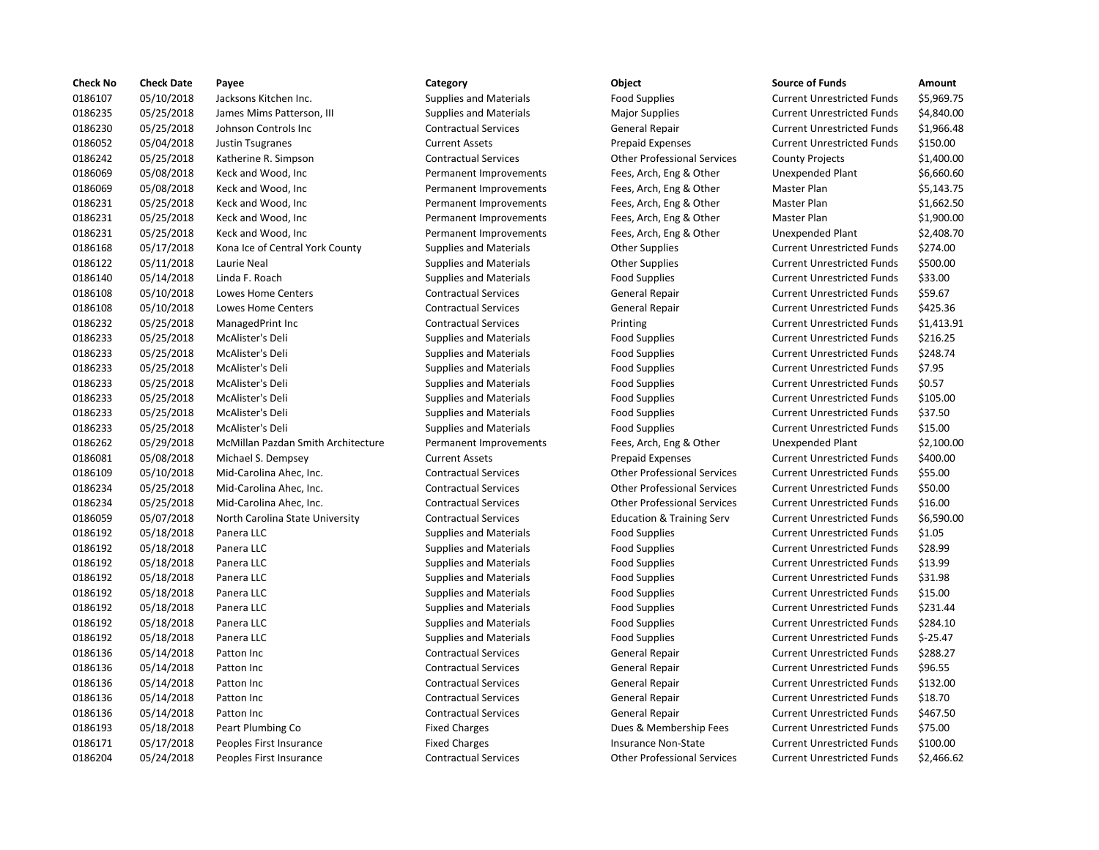| <b>Check No</b> | <b>Check Date</b> | Payee                              | Category                      | Object                               | <b>Source of Funds</b>            | Amount    |
|-----------------|-------------------|------------------------------------|-------------------------------|--------------------------------------|-----------------------------------|-----------|
| 0186107         | 05/10/2018        | Jacksons Kitchen Inc.              | <b>Supplies and Materials</b> | <b>Food Supplies</b>                 | <b>Current Unrestricted Funds</b> | \$5,969.7 |
| 0186235         | 05/25/2018        | James Mims Patterson, III          | <b>Supplies and Materials</b> | <b>Major Supplies</b>                | <b>Current Unrestricted Funds</b> | \$4,840.0 |
| 0186230         | 05/25/2018        | Johnson Controls Inc               | <b>Contractual Services</b>   | <b>General Repair</b>                | <b>Current Unrestricted Funds</b> | \$1,966.4 |
| 0186052         | 05/04/2018        | <b>Justin Tsugranes</b>            | <b>Current Assets</b>         | <b>Prepaid Expenses</b>              | <b>Current Unrestricted Funds</b> | \$150.00  |
| 0186242         | 05/25/2018        | Katherine R. Simpson               | <b>Contractual Services</b>   | <b>Other Professional Services</b>   | <b>County Projects</b>            | \$1,400.0 |
| 0186069         | 05/08/2018        | Keck and Wood, Inc                 | Permanent Improvements        | Fees, Arch, Eng & Other              | Unexpended Plant                  | \$6,660.6 |
| 0186069         | 05/08/2018        | Keck and Wood, Inc                 | Permanent Improvements        | Fees, Arch, Eng & Other              | Master Plan                       | \$5,143.7 |
| 0186231         | 05/25/2018        | Keck and Wood, Inc                 | Permanent Improvements        | Fees, Arch, Eng & Other              | Master Plan                       | \$1,662.5 |
| 0186231         | 05/25/2018        | Keck and Wood, Inc                 | Permanent Improvements        | Fees, Arch, Eng & Other              | Master Plan                       | \$1,900.0 |
| 0186231         | 05/25/2018        | Keck and Wood, Inc                 | Permanent Improvements        | Fees, Arch, Eng & Other              | Unexpended Plant                  | \$2,408.7 |
| 0186168         | 05/17/2018        | Kona Ice of Central York County    | <b>Supplies and Materials</b> | <b>Other Supplies</b>                | <b>Current Unrestricted Funds</b> | \$274.00  |
| 0186122         | 05/11/2018        | Laurie Neal                        | <b>Supplies and Materials</b> | <b>Other Supplies</b>                | <b>Current Unrestricted Funds</b> | \$500.00  |
| 0186140         | 05/14/2018        | Linda F. Roach                     | <b>Supplies and Materials</b> | <b>Food Supplies</b>                 | <b>Current Unrestricted Funds</b> | \$33.00   |
| 0186108         | 05/10/2018        | <b>Lowes Home Centers</b>          | <b>Contractual Services</b>   | General Repair                       | <b>Current Unrestricted Funds</b> | \$59.67   |
| 0186108         | 05/10/2018        | Lowes Home Centers                 | <b>Contractual Services</b>   | General Repair                       | <b>Current Unrestricted Funds</b> | \$425.36  |
| 0186232         | 05/25/2018        | ManagedPrint Inc                   | <b>Contractual Services</b>   | Printing                             | <b>Current Unrestricted Funds</b> | \$1,413.9 |
| 0186233         | 05/25/2018        | McAlister's Deli                   | <b>Supplies and Materials</b> | <b>Food Supplies</b>                 | <b>Current Unrestricted Funds</b> | \$216.25  |
| 0186233         | 05/25/2018        | McAlister's Deli                   | <b>Supplies and Materials</b> | <b>Food Supplies</b>                 | <b>Current Unrestricted Funds</b> | \$248.74  |
| 0186233         | 05/25/2018        | McAlister's Deli                   | <b>Supplies and Materials</b> | <b>Food Supplies</b>                 | <b>Current Unrestricted Funds</b> | \$7.95    |
| 0186233         | 05/25/2018        | McAlister's Deli                   | <b>Supplies and Materials</b> | <b>Food Supplies</b>                 | <b>Current Unrestricted Funds</b> | \$0.57    |
| 0186233         | 05/25/2018        | McAlister's Deli                   | <b>Supplies and Materials</b> | <b>Food Supplies</b>                 | <b>Current Unrestricted Funds</b> | \$105.00  |
| 0186233         | 05/25/2018        | McAlister's Deli                   | <b>Supplies and Materials</b> | <b>Food Supplies</b>                 | <b>Current Unrestricted Funds</b> | \$37.50   |
| 0186233         | 05/25/2018        | McAlister's Deli                   | <b>Supplies and Materials</b> | <b>Food Supplies</b>                 | <b>Current Unrestricted Funds</b> | \$15.00   |
| 0186262         | 05/29/2018        | McMillan Pazdan Smith Architecture | Permanent Improvements        | Fees, Arch, Eng & Other              | <b>Unexpended Plant</b>           | \$2,100.0 |
| 0186081         | 05/08/2018        | Michael S. Dempsey                 | <b>Current Assets</b>         | <b>Prepaid Expenses</b>              | <b>Current Unrestricted Funds</b> | \$400.00  |
| 0186109         | 05/10/2018        | Mid-Carolina Ahec, Inc.            | <b>Contractual Services</b>   | <b>Other Professional Services</b>   | <b>Current Unrestricted Funds</b> | \$55.00   |
| 0186234         | 05/25/2018        | Mid-Carolina Ahec, Inc.            | <b>Contractual Services</b>   | <b>Other Professional Services</b>   | <b>Current Unrestricted Funds</b> | \$50.00   |
| 0186234         | 05/25/2018        | Mid-Carolina Ahec, Inc.            | <b>Contractual Services</b>   | <b>Other Professional Services</b>   | <b>Current Unrestricted Funds</b> | \$16.00   |
| 0186059         | 05/07/2018        | North Carolina State University    | <b>Contractual Services</b>   | <b>Education &amp; Training Serv</b> | <b>Current Unrestricted Funds</b> | \$6,590.0 |
| 0186192         | 05/18/2018        | Panera LLC                         | <b>Supplies and Materials</b> | <b>Food Supplies</b>                 | <b>Current Unrestricted Funds</b> | \$1.05    |
| 0186192         | 05/18/2018        | Panera LLC                         | <b>Supplies and Materials</b> | <b>Food Supplies</b>                 | <b>Current Unrestricted Funds</b> | \$28.99   |
| 0186192         | 05/18/2018        | Panera LLC                         | <b>Supplies and Materials</b> | <b>Food Supplies</b>                 | <b>Current Unrestricted Funds</b> | \$13.99   |
| 0186192         | 05/18/2018        | Panera LLC                         | <b>Supplies and Materials</b> | <b>Food Supplies</b>                 | <b>Current Unrestricted Funds</b> | \$31.98   |
| 0186192         | 05/18/2018        | Panera LLC                         | <b>Supplies and Materials</b> | <b>Food Supplies</b>                 | <b>Current Unrestricted Funds</b> | \$15.00   |
| 0186192         | 05/18/2018        | Panera LLC                         | <b>Supplies and Materials</b> | <b>Food Supplies</b>                 | <b>Current Unrestricted Funds</b> | \$231.44  |
| 0186192         | 05/18/2018        | Panera LLC                         | <b>Supplies and Materials</b> | <b>Food Supplies</b>                 | <b>Current Unrestricted Funds</b> | \$284.10  |
| 0186192         | 05/18/2018        | Panera LLC                         | <b>Supplies and Materials</b> | <b>Food Supplies</b>                 | <b>Current Unrestricted Funds</b> | $$-25.47$ |
| 0186136         | 05/14/2018        | Patton Inc                         | <b>Contractual Services</b>   | General Repair                       | <b>Current Unrestricted Funds</b> | \$288.27  |
| 0186136         | 05/14/2018        | Patton Inc                         | <b>Contractual Services</b>   | <b>General Repair</b>                | <b>Current Unrestricted Funds</b> | \$96.55   |
| 0186136         | 05/14/2018        | Patton Inc                         | <b>Contractual Services</b>   | General Repair                       | <b>Current Unrestricted Funds</b> | \$132.00  |
| 0186136         | 05/14/2018        | Patton Inc                         | <b>Contractual Services</b>   | General Repair                       | <b>Current Unrestricted Funds</b> | \$18.70   |
| 0186136         | 05/14/2018        | Patton Inc                         | <b>Contractual Services</b>   | General Repair                       | <b>Current Unrestricted Funds</b> | \$467.50  |
| 0186193         | 05/18/2018        | Peart Plumbing Co                  | <b>Fixed Charges</b>          | Dues & Membership Fees               | <b>Current Unrestricted Funds</b> | \$75.00   |
| 0186171         | 05/17/2018        | Peoples First Insurance            | <b>Fixed Charges</b>          | <b>Insurance Non-State</b>           | <b>Current Unrestricted Funds</b> | \$100.00  |
| 0186204         | 05/24/2018        | Peoples First Insurance            | <b>Contractual Services</b>   | <b>Other Professional Services</b>   | <b>Current Unrestricted Funds</b> | \$2,466.6 |

## 0186107 05/10/2018 Jacksons Kitchen Inc. Supplies and Materials Food Supplies Current Unrestricted Funds \$5,969.75 0186235 05/25/2018 James Mims Patterson, III Supplies and Materials Major Supplies Current Unrestricted Funds \$4,840.00 Ontractual Services **Contractual Services** General Repair **Current Unrestricted Funds** \$1,966.48 0186052 05/04/2018 Justin Tsugranes Current Assets Prepaid Expenses Current Unrestricted Funds \$150.00 0186242 05/25/2018 Katherine R. Simpson Contractual Services Other Professional Services County Projects \$1,400.00 Permanent Improvements Fees, Arch, Eng & Other Unexpended Plant \$6,660.60 Permanent Improvements Fees, Arch, Eng & Other Master Plan \$5,143.75 Permanent Improvements Fees, Arch, Eng & Other Master Plan \$1,662.50 Permanent Improvements Fees, Arch, Eng & Other Master Plan \$1,900.00 Permanent Improvements Fees, Arch, Eng & Other Unexpended Plant \$2,408.70 Supplies and Materials **Current County County County Contral York Contract Contract Contract Contract Contract Contract Current Unrestricted Funds \$274.00** Supplies and Materials **Current University Current Unrestricted Funds** \$500.00 0186140 05/14/2018 Linda F. Roach Supplies and Materials Food Supplies Current Unrestricted Funds \$33.00 0186108 05/10/2018 Lowes Home Centers Contractual Services General Repair Current Unrestricted Funds \$59.67 Contractual Services **Contractual Services** General Repair **Current Unrestricted Funds** \$425.36 Ontractual Services **1.413.91** Printing **Current Unrestricted Funds** \$1,413.91 Supplies and Materials **Food Supplies Current Unrestricted Funds** 5216.25 Supplies and Materials **Example Supplies** Food Supplies **Current Unrestricted Funds** 5248.74 Supplies and Materials **Current Unterstand Materials** Food Supplies **Current Unrestricted Funds** \$7.95 Supplies and Materials **EDIES ENGLISTER** Food Supplies **Current Unrestricted Funds** \$0.57 Supplies and Materials **Food Supplies Current Unrestricted Funds** \$105.00 0186233 05/25/2018 McAlister's Deli Supplies and Materials Food Supplies Current Unrestricted Funds \$37.50 0186233 05/25/2018 McAlister's Deli Supplies and Materials Food Supplies Current Unrestricted Funds \$15.00 Permanent Improvements Fees, Arch, Eng & Other Unexpended Plant \$2,100.00 0186081 05/08/2018 Michael S. Dempsey Current Assets Prepaid Expenses Current Unrestricted Funds \$400.00 0186109 05/10/2018 Mid-Carolina Ahec, Inc. Contractual Services Other Professional Services Current Unrestricted Funds \$55.00 0186234 05/25/2018 Mid-Carolina Ahec, Inc. Contractual Services Other Professional Services Current Unrestricted Funds \$50.00 0186234 05/25/2018 Mid-Carolina Ahec, Inc. Contractual Services Other Professional Services Current Unrestricted Funds \$16.00 0186059 05/07/2018 North Carolina State University Contractual Services Education & Training Serv Current Unrestricted Funds \$6,590.00 Supplies and Materials **EXEC SUPPLIES ARE ALCORD FOOD SUPPLIES** Current Unrestricted Funds \$1.05 0186192 05/18/2018 Panera LLC Supplies and Materials Food Supplies Current Unrestricted Funds \$28.99 0186192 05/18/2018 Panera LLC Supplies and Materials Food Supplies Current Unrestricted Funds \$13.99 Supplies and Materials **Food Supplies** Food Supplies Current Unrestricted Funds \$31.98 0186192 05/18/2018 Panera LLC Supplies and Materials Food Supplies Current Unrestricted Funds \$15.00 Supplies and Materials **Example Supplies** Food Supplies **Current Unrestricted Funds** \$231.44 Supplies and Materials **Example Supplies** Food Supplies **Current Unrestricted Funds** \$284.10 Supplies and Materials **Example System Supplies Current Unrestricted Funds**  $\frac{5}{25.47}$ Contractual Services **Contractual Services** General Repair **Current Unrestricted Funds** \$288.27 Contractual Services **Contractual Services** General Repair **Current Unrestricted Funds** \$96.55 0186136 05/14/2018 Patton Inc Contractual Services General Repair Current Unrestricted Funds \$132.00 Contractual Services **Contractual Services** General Repair Current Unrestricted Funds \$18.70 Contractual Services **65.150** General Repair **Current Unrestricted Funds** \$467.50 Fixed Charges **1981 2018 Clumping Communist Plumbership Fees** Current Unrestricted Funds \$75.00 Fixed Charges Theorem Current Unrestricted Funds S100.00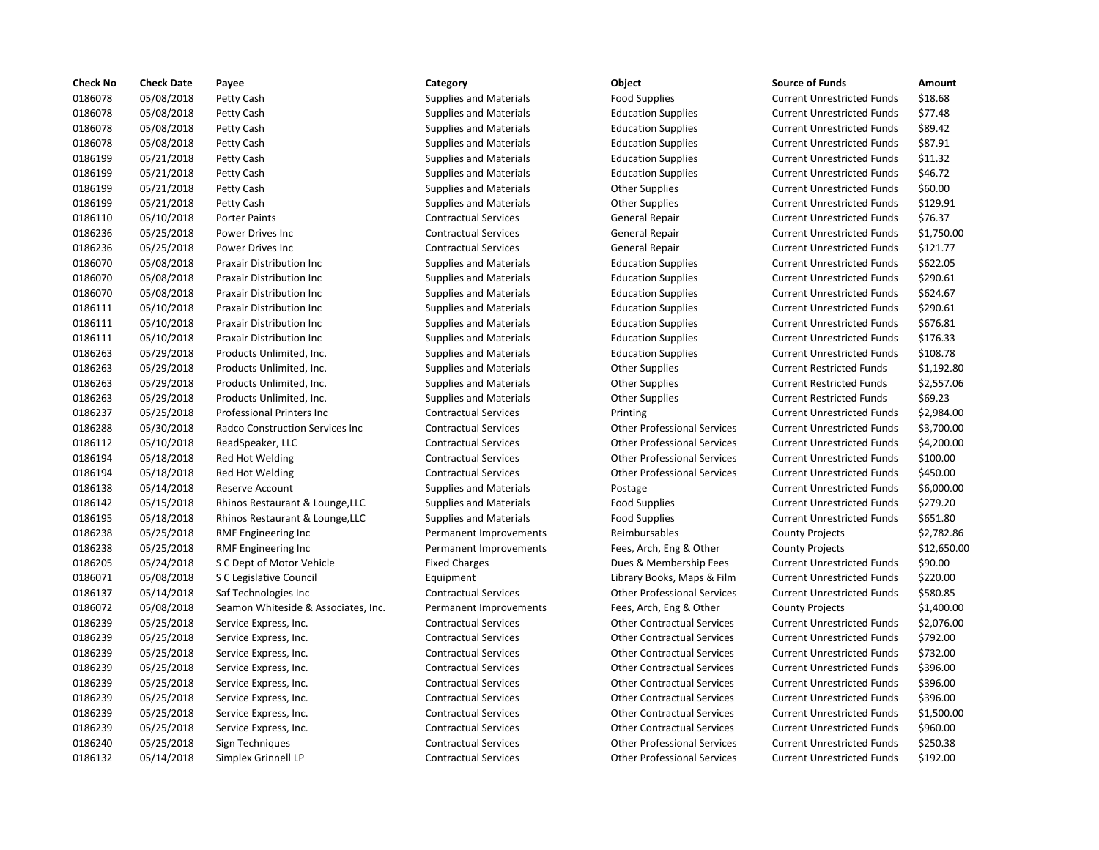| <b>Check No</b> | <b>Check Date</b> | Payee                               | Category                      | Object                             | <b>Source of Funds</b>            | Amount     |
|-----------------|-------------------|-------------------------------------|-------------------------------|------------------------------------|-----------------------------------|------------|
| 0186078         | 05/08/2018        | Petty Cash                          | <b>Supplies and Materials</b> | <b>Food Supplies</b>               | <b>Current Unrestricted Funds</b> | \$18.68    |
| 0186078         | 05/08/2018        | Petty Cash                          | <b>Supplies and Materials</b> | <b>Education Supplies</b>          | <b>Current Unrestricted Funds</b> | \$77.48    |
| 0186078         | 05/08/2018        | Petty Cash                          | <b>Supplies and Materials</b> | <b>Education Supplies</b>          | <b>Current Unrestricted Funds</b> | \$89.42    |
| 0186078         | 05/08/2018        | Petty Cash                          | <b>Supplies and Materials</b> | <b>Education Supplies</b>          | <b>Current Unrestricted Funds</b> | \$87.91    |
| 0186199         | 05/21/2018        | Petty Cash                          | <b>Supplies and Materials</b> | <b>Education Supplies</b>          | <b>Current Unrestricted Funds</b> | \$11.32    |
| 0186199         | 05/21/2018        | Petty Cash                          | <b>Supplies and Materials</b> | <b>Education Supplies</b>          | <b>Current Unrestricted Funds</b> | \$46.72    |
| 0186199         | 05/21/2018        | Petty Cash                          | <b>Supplies and Materials</b> | <b>Other Supplies</b>              | <b>Current Unrestricted Funds</b> | \$60.00    |
| 0186199         | 05/21/2018        | Petty Cash                          | <b>Supplies and Materials</b> | <b>Other Supplies</b>              | <b>Current Unrestricted Funds</b> | \$129.91   |
| 0186110         | 05/10/2018        | <b>Porter Paints</b>                | <b>Contractual Services</b>   | General Repair                     | <b>Current Unrestricted Funds</b> | \$76.37    |
| 0186236         | 05/25/2018        | Power Drives Inc                    | <b>Contractual Services</b>   | General Repair                     | <b>Current Unrestricted Funds</b> | \$1,750.00 |
| 0186236         | 05/25/2018        | Power Drives Inc                    | <b>Contractual Services</b>   | General Repair                     | <b>Current Unrestricted Funds</b> | \$121.77   |
| 0186070         | 05/08/2018        | Praxair Distribution Inc            | <b>Supplies and Materials</b> | <b>Education Supplies</b>          | <b>Current Unrestricted Funds</b> | \$622.05   |
| 0186070         | 05/08/2018        | Praxair Distribution Inc            | <b>Supplies and Materials</b> | <b>Education Supplies</b>          | <b>Current Unrestricted Funds</b> | \$290.61   |
| 0186070         | 05/08/2018        | Praxair Distribution Inc            | <b>Supplies and Materials</b> | <b>Education Supplies</b>          | <b>Current Unrestricted Funds</b> | \$624.67   |
| 0186111         | 05/10/2018        | Praxair Distribution Inc            | <b>Supplies and Materials</b> | <b>Education Supplies</b>          | <b>Current Unrestricted Funds</b> | \$290.61   |
| 0186111         | 05/10/2018        | Praxair Distribution Inc            | <b>Supplies and Materials</b> | <b>Education Supplies</b>          | <b>Current Unrestricted Funds</b> | \$676.81   |
| 0186111         | 05/10/2018        | Praxair Distribution Inc            | <b>Supplies and Materials</b> | <b>Education Supplies</b>          | <b>Current Unrestricted Funds</b> | \$176.33   |
| 0186263         | 05/29/2018        | Products Unlimited, Inc.            | <b>Supplies and Materials</b> | <b>Education Supplies</b>          | <b>Current Unrestricted Funds</b> | \$108.78   |
| 0186263         | 05/29/2018        | Products Unlimited, Inc.            | <b>Supplies and Materials</b> | <b>Other Supplies</b>              | <b>Current Restricted Funds</b>   | \$1,192.80 |
| 0186263         | 05/29/2018        | Products Unlimited, Inc.            | <b>Supplies and Materials</b> | <b>Other Supplies</b>              | <b>Current Restricted Funds</b>   | \$2,557.06 |
| 0186263         | 05/29/2018        | Products Unlimited, Inc.            | <b>Supplies and Materials</b> | <b>Other Supplies</b>              | <b>Current Restricted Funds</b>   | \$69.23    |
| 0186237         | 05/25/2018        | <b>Professional Printers Inc</b>    | <b>Contractual Services</b>   | Printing                           | <b>Current Unrestricted Funds</b> | \$2,984.00 |
| 0186288         | 05/30/2018        | Radco Construction Services Inc     | <b>Contractual Services</b>   | <b>Other Professional Services</b> | <b>Current Unrestricted Funds</b> | \$3,700.00 |
| 0186112         | 05/10/2018        | ReadSpeaker, LLC                    | <b>Contractual Services</b>   | <b>Other Professional Services</b> | <b>Current Unrestricted Funds</b> | \$4,200.00 |
| 0186194         | 05/18/2018        | Red Hot Welding                     | <b>Contractual Services</b>   | <b>Other Professional Services</b> | <b>Current Unrestricted Funds</b> | \$100.00   |
| 0186194         | 05/18/2018        | Red Hot Welding                     | <b>Contractual Services</b>   | <b>Other Professional Services</b> | <b>Current Unrestricted Funds</b> | \$450.00   |
| 0186138         | 05/14/2018        | <b>Reserve Account</b>              | <b>Supplies and Materials</b> | Postage                            | <b>Current Unrestricted Funds</b> | \$6,000.00 |
| 0186142         | 05/15/2018        | Rhinos Restaurant & Lounge, LLC     | <b>Supplies and Materials</b> | <b>Food Supplies</b>               | <b>Current Unrestricted Funds</b> | \$279.20   |
| 0186195         | 05/18/2018        | Rhinos Restaurant & Lounge, LLC     | <b>Supplies and Materials</b> | <b>Food Supplies</b>               | <b>Current Unrestricted Funds</b> | \$651.80   |
| 0186238         | 05/25/2018        | <b>RMF Engineering Inc</b>          | Permanent Improvements        | Reimbursables                      | <b>County Projects</b>            | \$2,782.86 |
| 0186238         | 05/25/2018        | RMF Engineering Inc                 | Permanent Improvements        | Fees, Arch, Eng & Other            | <b>County Projects</b>            | \$12,650.0 |
| 0186205         | 05/24/2018        | S C Dept of Motor Vehicle           | <b>Fixed Charges</b>          | Dues & Membership Fees             | <b>Current Unrestricted Funds</b> | \$90.00    |
| 0186071         | 05/08/2018        | S C Legislative Council             | Equipment                     | Library Books, Maps & Film         | <b>Current Unrestricted Funds</b> | \$220.00   |
| 0186137         | 05/14/2018        | Saf Technologies Inc                | <b>Contractual Services</b>   | <b>Other Professional Services</b> | <b>Current Unrestricted Funds</b> | \$580.85   |
| 0186072         | 05/08/2018        | Seamon Whiteside & Associates, Inc. | Permanent Improvements        | Fees, Arch, Eng & Other            | <b>County Projects</b>            | \$1,400.00 |
| 0186239         | 05/25/2018        | Service Express, Inc.               | <b>Contractual Services</b>   | <b>Other Contractual Services</b>  | <b>Current Unrestricted Funds</b> | \$2,076.00 |
| 0186239         | 05/25/2018        | Service Express, Inc.               | <b>Contractual Services</b>   | <b>Other Contractual Services</b>  | <b>Current Unrestricted Funds</b> | \$792.00   |
| 0186239         | 05/25/2018        | Service Express, Inc.               | <b>Contractual Services</b>   | <b>Other Contractual Services</b>  | <b>Current Unrestricted Funds</b> | \$732.00   |
| 0186239         | 05/25/2018        | Service Express, Inc.               | <b>Contractual Services</b>   | <b>Other Contractual Services</b>  | <b>Current Unrestricted Funds</b> | \$396.00   |
| 0186239         | 05/25/2018        | Service Express, Inc.               | <b>Contractual Services</b>   | <b>Other Contractual Services</b>  | <b>Current Unrestricted Funds</b> | \$396.00   |
| 0186239         | 05/25/2018        | Service Express, Inc.               | <b>Contractual Services</b>   | <b>Other Contractual Services</b>  | <b>Current Unrestricted Funds</b> | \$396.00   |
| 0186239         | 05/25/2018        | Service Express, Inc.               | <b>Contractual Services</b>   | <b>Other Contractual Services</b>  | <b>Current Unrestricted Funds</b> | \$1,500.00 |
| 0186239         | 05/25/2018        | Service Express, Inc.               | <b>Contractual Services</b>   | <b>Other Contractual Services</b>  | <b>Current Unrestricted Funds</b> | \$960.00   |
| 0186240         | 05/25/2018        | Sign Techniques                     | <b>Contractual Services</b>   | <b>Other Professional Services</b> | <b>Current Unrestricted Funds</b> | \$250.38   |
| 0186132         | 05/14/2018        | Simplex Grinnell LP                 | <b>Contractual Services</b>   | <b>Other Professional Services</b> | <b>Current Unrestricted Funds</b> | \$192.00   |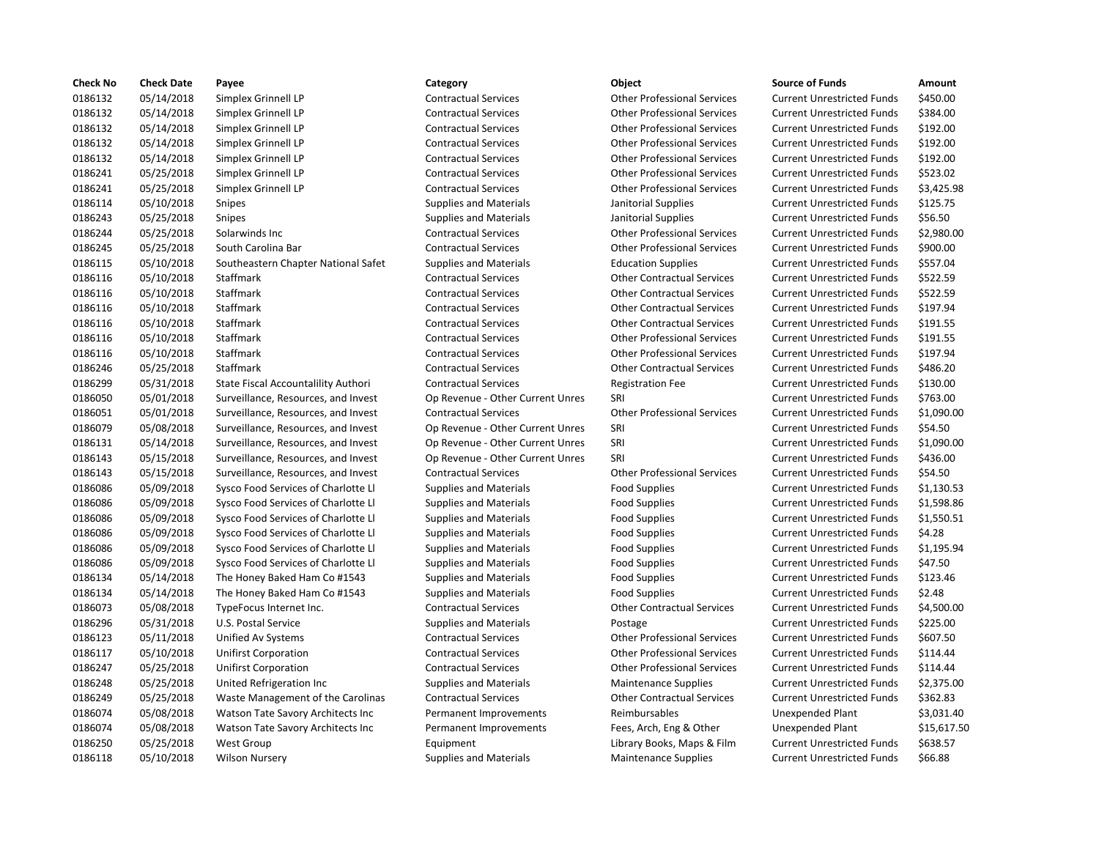| <b>Check No</b> | <b>Check Date</b> | Payee                               | Category                         | Object                             | <b>Source of Funds</b>            | Amount    |
|-----------------|-------------------|-------------------------------------|----------------------------------|------------------------------------|-----------------------------------|-----------|
| 0186132         | 05/14/2018        | Simplex Grinnell LP                 | <b>Contractual Services</b>      | <b>Other Professional Services</b> | <b>Current Unrestricted Funds</b> | \$450.00  |
| 0186132         | 05/14/2018        | Simplex Grinnell LP                 | <b>Contractual Services</b>      | <b>Other Professional Services</b> | <b>Current Unrestricted Funds</b> | \$384.00  |
| 0186132         | 05/14/2018        | Simplex Grinnell LP                 | <b>Contractual Services</b>      | <b>Other Professional Services</b> | <b>Current Unrestricted Funds</b> | \$192.00  |
| 0186132         | 05/14/2018        | Simplex Grinnell LP                 | <b>Contractual Services</b>      | <b>Other Professional Services</b> | <b>Current Unrestricted Funds</b> | \$192.00  |
| 0186132         | 05/14/2018        | Simplex Grinnell LP                 | <b>Contractual Services</b>      | <b>Other Professional Services</b> | <b>Current Unrestricted Funds</b> | \$192.00  |
| 0186241         | 05/25/2018        | Simplex Grinnell LP                 | <b>Contractual Services</b>      | <b>Other Professional Services</b> | <b>Current Unrestricted Funds</b> | \$523.02  |
| 0186241         | 05/25/2018        | Simplex Grinnell LP                 | <b>Contractual Services</b>      | <b>Other Professional Services</b> | <b>Current Unrestricted Funds</b> | \$3,425.9 |
| 0186114         | 05/10/2018        | Snipes                              | <b>Supplies and Materials</b>    | Janitorial Supplies                | <b>Current Unrestricted Funds</b> | \$125.75  |
| 0186243         | 05/25/2018        | Snipes                              | <b>Supplies and Materials</b>    | Janitorial Supplies                | <b>Current Unrestricted Funds</b> | \$56.50   |
| 0186244         | 05/25/2018        | Solarwinds Inc                      | <b>Contractual Services</b>      | <b>Other Professional Services</b> | <b>Current Unrestricted Funds</b> | \$2,980.0 |
| 0186245         | 05/25/2018        | South Carolina Bar                  | <b>Contractual Services</b>      | <b>Other Professional Services</b> | <b>Current Unrestricted Funds</b> | \$900.00  |
| 0186115         | 05/10/2018        | Southeastern Chapter National Safet | <b>Supplies and Materials</b>    | <b>Education Supplies</b>          | <b>Current Unrestricted Funds</b> | \$557.04  |
| 0186116         | 05/10/2018        | Staffmark                           | <b>Contractual Services</b>      | <b>Other Contractual Services</b>  | <b>Current Unrestricted Funds</b> | \$522.59  |
| 0186116         | 05/10/2018        | Staffmark                           | <b>Contractual Services</b>      | <b>Other Contractual Services</b>  | <b>Current Unrestricted Funds</b> | \$522.59  |
| 0186116         | 05/10/2018        | Staffmark                           | <b>Contractual Services</b>      | <b>Other Contractual Services</b>  | <b>Current Unrestricted Funds</b> | \$197.94  |
| 0186116         | 05/10/2018        | Staffmark                           | <b>Contractual Services</b>      | <b>Other Contractual Services</b>  | <b>Current Unrestricted Funds</b> | \$191.55  |
| 0186116         | 05/10/2018        | Staffmark                           | <b>Contractual Services</b>      | <b>Other Professional Services</b> | <b>Current Unrestricted Funds</b> | \$191.55  |
| 0186116         | 05/10/2018        | Staffmark                           | <b>Contractual Services</b>      | <b>Other Professional Services</b> | <b>Current Unrestricted Funds</b> | \$197.94  |
| 0186246         | 05/25/2018        | Staffmark                           | <b>Contractual Services</b>      | <b>Other Contractual Services</b>  | <b>Current Unrestricted Funds</b> | \$486.20  |
| 0186299         | 05/31/2018        | State Fiscal Accountalility Authori | <b>Contractual Services</b>      | <b>Registration Fee</b>            | <b>Current Unrestricted Funds</b> | \$130.00  |
| 0186050         | 05/01/2018        | Surveillance, Resources, and Invest | Op Revenue - Other Current Unres | SRI                                | <b>Current Unrestricted Funds</b> | \$763.00  |
| 0186051         | 05/01/2018        | Surveillance, Resources, and Invest | <b>Contractual Services</b>      | <b>Other Professional Services</b> | <b>Current Unrestricted Funds</b> | \$1,090.0 |
| 0186079         | 05/08/2018        | Surveillance, Resources, and Invest | Op Revenue - Other Current Unres | SRI                                | <b>Current Unrestricted Funds</b> | \$54.50   |
| 0186131         | 05/14/2018        | Surveillance, Resources, and Invest | Op Revenue - Other Current Unres | SRI                                | <b>Current Unrestricted Funds</b> | \$1,090.0 |
| 0186143         | 05/15/2018        | Surveillance, Resources, and Invest | Op Revenue - Other Current Unres | SRI                                | <b>Current Unrestricted Funds</b> | \$436.00  |
| 0186143         | 05/15/2018        | Surveillance, Resources, and Invest | <b>Contractual Services</b>      | <b>Other Professional Services</b> | <b>Current Unrestricted Funds</b> | \$54.50   |
| 0186086         | 05/09/2018        | Sysco Food Services of Charlotte Ll | <b>Supplies and Materials</b>    | <b>Food Supplies</b>               | <b>Current Unrestricted Funds</b> | \$1,130.5 |
| 0186086         | 05/09/2018        | Sysco Food Services of Charlotte Ll | <b>Supplies and Materials</b>    | <b>Food Supplies</b>               | <b>Current Unrestricted Funds</b> | \$1,598.8 |
| 0186086         | 05/09/2018        | Sysco Food Services of Charlotte Ll | <b>Supplies and Materials</b>    | <b>Food Supplies</b>               | <b>Current Unrestricted Funds</b> | \$1,550.5 |
| 0186086         | 05/09/2018        | Sysco Food Services of Charlotte Ll | <b>Supplies and Materials</b>    | <b>Food Supplies</b>               | <b>Current Unrestricted Funds</b> | \$4.28    |
| 0186086         | 05/09/2018        | Sysco Food Services of Charlotte Ll | <b>Supplies and Materials</b>    | <b>Food Supplies</b>               | <b>Current Unrestricted Funds</b> | \$1,195.9 |
| 0186086         | 05/09/2018        | Sysco Food Services of Charlotte Ll | <b>Supplies and Materials</b>    | <b>Food Supplies</b>               | <b>Current Unrestricted Funds</b> | \$47.50   |
| 0186134         | 05/14/2018        | The Honey Baked Ham Co #1543        | <b>Supplies and Materials</b>    | <b>Food Supplies</b>               | <b>Current Unrestricted Funds</b> | \$123.46  |
| 0186134         | 05/14/2018        | The Honey Baked Ham Co #1543        | <b>Supplies and Materials</b>    | <b>Food Supplies</b>               | <b>Current Unrestricted Funds</b> | \$2.48    |
| 0186073         | 05/08/2018        | TypeFocus Internet Inc.             | <b>Contractual Services</b>      | <b>Other Contractual Services</b>  | <b>Current Unrestricted Funds</b> | \$4,500.0 |
| 0186296         | 05/31/2018        | U.S. Postal Service                 | <b>Supplies and Materials</b>    | Postage                            | <b>Current Unrestricted Funds</b> | \$225.00  |
| 0186123         | 05/11/2018        | Unified Av Systems                  | <b>Contractual Services</b>      | <b>Other Professional Services</b> | <b>Current Unrestricted Funds</b> | \$607.50  |
| 0186117         | 05/10/2018        | Unifirst Corporation                | <b>Contractual Services</b>      | <b>Other Professional Services</b> | <b>Current Unrestricted Funds</b> | \$114.44  |
| 0186247         | 05/25/2018        | <b>Unifirst Corporation</b>         | <b>Contractual Services</b>      | <b>Other Professional Services</b> | <b>Current Unrestricted Funds</b> | \$114.44  |
| 0186248         | 05/25/2018        | United Refrigeration Inc            | <b>Supplies and Materials</b>    | <b>Maintenance Supplies</b>        | <b>Current Unrestricted Funds</b> | \$2,375.0 |
| 0186249         | 05/25/2018        | Waste Management of the Carolinas   | <b>Contractual Services</b>      | <b>Other Contractual Services</b>  | <b>Current Unrestricted Funds</b> | \$362.83  |
| 0186074         | 05/08/2018        | Watson Tate Savory Architects Inc   | Permanent Improvements           | Reimbursables                      | Unexpended Plant                  | \$3,031.4 |
| 0186074         | 05/08/2018        | Watson Tate Savory Architects Inc   | Permanent Improvements           | Fees, Arch, Eng & Other            | <b>Unexpended Plant</b>           | \$15,617  |
| 0186250         | 05/25/2018        | <b>West Group</b>                   | Equipment                        | Library Books, Maps & Film         | <b>Current Unrestricted Funds</b> | \$638.57  |
| 0186118         | 05/10/2018        | <b>Wilson Nursery</b>               | <b>Supplies and Materials</b>    | <b>Maintenance Supplies</b>        | <b>Current Unrestricted Funds</b> | \$66.88   |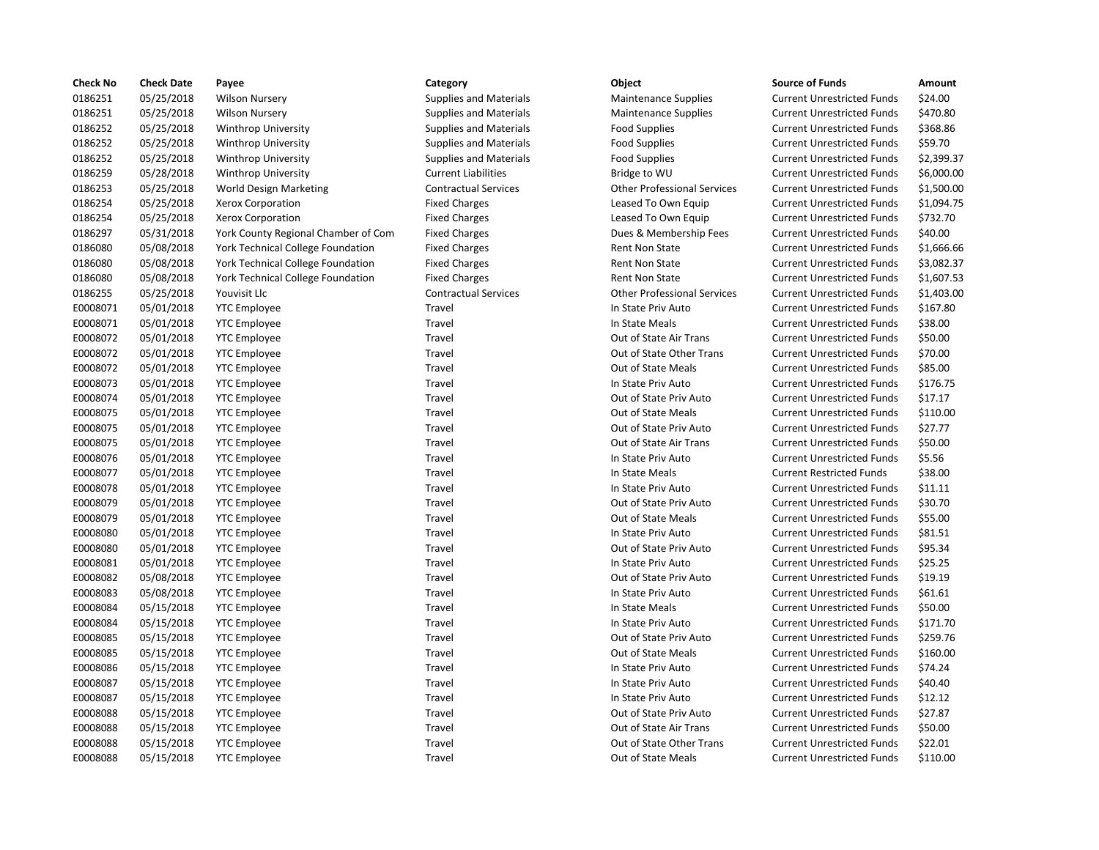| <b>Check No</b> | <b>Check Date</b> | Payee                               | Category                      | Object                             | <b>Source of Funds</b>            | Amount    |
|-----------------|-------------------|-------------------------------------|-------------------------------|------------------------------------|-----------------------------------|-----------|
| 0186251         | 05/25/2018        | <b>Wilson Nursery</b>               | <b>Supplies and Materials</b> | <b>Maintenance Supplies</b>        | <b>Current Unrestricted Funds</b> | \$24.00   |
| 0186251         | 05/25/2018        | <b>Wilson Nursery</b>               | <b>Supplies and Materials</b> | <b>Maintenance Supplies</b>        | <b>Current Unrestricted Funds</b> | \$470.80  |
| 0186252         | 05/25/2018        | <b>Winthrop University</b>          | <b>Supplies and Materials</b> | <b>Food Supplies</b>               | <b>Current Unrestricted Funds</b> | \$368.86  |
| 0186252         | 05/25/2018        | <b>Winthrop University</b>          | <b>Supplies and Materials</b> | <b>Food Supplies</b>               | <b>Current Unrestricted Funds</b> | \$59.70   |
| 0186252         | 05/25/2018        | <b>Winthrop University</b>          | <b>Supplies and Materials</b> | <b>Food Supplies</b>               | <b>Current Unrestricted Funds</b> | \$2,399.3 |
| 0186259         | 05/28/2018        | <b>Winthrop University</b>          | <b>Current Liabilities</b>    | Bridge to WU                       | <b>Current Unrestricted Funds</b> | \$6,000.0 |
| 0186253         | 05/25/2018        | World Design Marketing              | <b>Contractual Services</b>   | <b>Other Professional Services</b> | <b>Current Unrestricted Funds</b> | \$1,500.0 |
| 0186254         | 05/25/2018        | Xerox Corporation                   | <b>Fixed Charges</b>          | Leased To Own Equip                | <b>Current Unrestricted Funds</b> | \$1,094.7 |
| 0186254         | 05/25/2018        | Xerox Corporation                   | <b>Fixed Charges</b>          | Leased To Own Equip                | <b>Current Unrestricted Funds</b> | \$732.70  |
| 0186297         | 05/31/2018        | York County Regional Chamber of Com | <b>Fixed Charges</b>          | Dues & Membership Fees             | <b>Current Unrestricted Funds</b> | \$40.00   |
| 0186080         | 05/08/2018        | York Technical College Foundation   | <b>Fixed Charges</b>          | <b>Rent Non State</b>              | <b>Current Unrestricted Funds</b> | \$1,666.6 |
| 0186080         | 05/08/2018        | York Technical College Foundation   | <b>Fixed Charges</b>          | <b>Rent Non State</b>              | <b>Current Unrestricted Funds</b> | \$3,082.3 |
| 0186080         | 05/08/2018        | York Technical College Foundation   | <b>Fixed Charges</b>          | <b>Rent Non State</b>              | <b>Current Unrestricted Funds</b> | \$1,607.5 |
| 0186255         | 05/25/2018        | Youvisit Llc                        | <b>Contractual Services</b>   | <b>Other Professional Services</b> | <b>Current Unrestricted Funds</b> | \$1,403.0 |
| E0008071        | 05/01/2018        | <b>YTC Employee</b>                 | Travel                        | In State Priv Auto                 | <b>Current Unrestricted Funds</b> | \$167.80  |
| E0008071        | 05/01/2018        | <b>YTC Employee</b>                 | Travel                        | In State Meals                     | <b>Current Unrestricted Funds</b> | \$38.00   |
| E0008072        | 05/01/2018        | <b>YTC Employee</b>                 | Travel                        | Out of State Air Trans             | <b>Current Unrestricted Funds</b> | \$50.00   |
| E0008072        | 05/01/2018        | <b>YTC Employee</b>                 | Travel                        | Out of State Other Trans           | <b>Current Unrestricted Funds</b> | \$70.00   |
| E0008072        | 05/01/2018        | <b>YTC Employee</b>                 | Travel                        | Out of State Meals                 | <b>Current Unrestricted Funds</b> | \$85.00   |
| E0008073        | 05/01/2018        | <b>YTC Employee</b>                 | Travel                        | In State Priv Auto                 | <b>Current Unrestricted Funds</b> | \$176.75  |
| E0008074        | 05/01/2018        | <b>YTC Employee</b>                 | Travel                        | Out of State Priv Auto             | <b>Current Unrestricted Funds</b> | \$17.17   |
| E0008075        | 05/01/2018        | <b>YTC Employee</b>                 | Travel                        | Out of State Meals                 | <b>Current Unrestricted Funds</b> | \$110.00  |
| E0008075        | 05/01/2018        | <b>YTC Employee</b>                 | Travel                        | Out of State Priv Auto             | <b>Current Unrestricted Funds</b> | \$27.77   |
| E0008075        | 05/01/2018        | <b>YTC Employee</b>                 | Travel                        | Out of State Air Trans             | <b>Current Unrestricted Funds</b> | \$50.00   |
| E0008076        | 05/01/2018        | <b>YTC Employee</b>                 | Travel                        | In State Priv Auto                 | <b>Current Unrestricted Funds</b> | \$5.56    |
| E0008077        | 05/01/2018        | <b>YTC Employee</b>                 | Travel                        | In State Meals                     | <b>Current Restricted Funds</b>   | \$38.00   |
| E0008078        | 05/01/2018        | <b>YTC Employee</b>                 | Travel                        | In State Priv Auto                 | <b>Current Unrestricted Funds</b> | \$11.11   |
| E0008079        | 05/01/2018        | <b>YTC Employee</b>                 | Travel                        | Out of State Priv Auto             | <b>Current Unrestricted Funds</b> | \$30.70   |
| E0008079        | 05/01/2018        | <b>YTC Employee</b>                 | Travel                        | Out of State Meals                 | <b>Current Unrestricted Funds</b> | \$55.00   |
| E0008080        | 05/01/2018        | <b>YTC Employee</b>                 | Travel                        | In State Priv Auto                 | <b>Current Unrestricted Funds</b> | \$81.51   |
| E0008080        | 05/01/2018        | <b>YTC Employee</b>                 | Travel                        | Out of State Priv Auto             | <b>Current Unrestricted Funds</b> | \$95.34   |
| E0008081        | 05/01/2018        | <b>YTC Employee</b>                 | Travel                        | In State Priv Auto                 | <b>Current Unrestricted Funds</b> | \$25.25   |
| E0008082        | 05/08/2018        | <b>YTC Employee</b>                 | Travel                        | Out of State Priv Auto             | <b>Current Unrestricted Funds</b> | \$19.19   |
| E0008083        | 05/08/2018        | <b>YTC Employee</b>                 | Travel                        | In State Priv Auto                 | <b>Current Unrestricted Funds</b> | \$61.61   |
| E0008084        | 05/15/2018        | <b>YTC Employee</b>                 | Travel                        | In State Meals                     | <b>Current Unrestricted Funds</b> | \$50.00   |
| E0008084        | 05/15/2018        | <b>YTC Employee</b>                 | Travel                        | In State Priv Auto                 | <b>Current Unrestricted Funds</b> | \$171.70  |
| E0008085        | 05/15/2018        | <b>YTC Employee</b>                 | Travel                        | Out of State Priv Auto             | <b>Current Unrestricted Funds</b> | \$259.76  |
| E0008085        | 05/15/2018        | <b>YTC Employee</b>                 | Travel                        | Out of State Meals                 | <b>Current Unrestricted Funds</b> | \$160.00  |
| E0008086        | 05/15/2018        | <b>YTC Employee</b>                 | Travel                        | In State Priv Auto                 | <b>Current Unrestricted Funds</b> | \$74.24   |
| E0008087        | 05/15/2018        | <b>YTC Employee</b>                 | Travel                        | In State Priv Auto                 | <b>Current Unrestricted Funds</b> | \$40.40   |
| E0008087        | 05/15/2018        | <b>YTC Employee</b>                 | Travel                        | In State Priv Auto                 | <b>Current Unrestricted Funds</b> | \$12.12   |
| E0008088        | 05/15/2018        | <b>YTC Employee</b>                 | Travel                        | Out of State Priv Auto             | <b>Current Unrestricted Funds</b> | \$27.87   |
| E0008088        | 05/15/2018        | <b>YTC Employee</b>                 | Travel                        | Out of State Air Trans             | <b>Current Unrestricted Funds</b> | \$50.00   |
| E0008088        | 05/15/2018        | <b>YTC Employee</b>                 | Travel                        | Out of State Other Trans           | <b>Current Unrestricted Funds</b> | \$22.01   |
| E0008088        | 05/15/2018        | <b>YTC Employee</b>                 | Travel                        | Out of State Meals                 | <b>Current Unrestricted Funds</b> | \$110.00  |
|                 |                   |                                     |                               |                                    |                                   |           |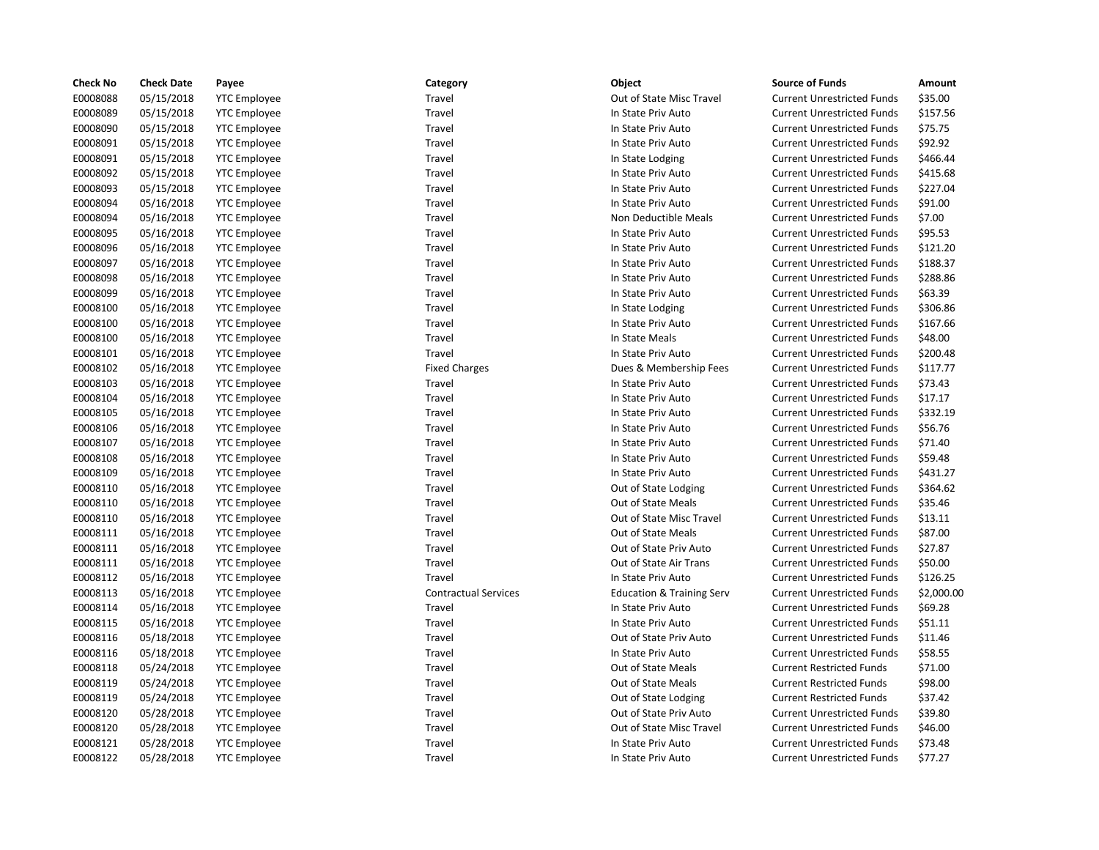| E0008088<br>05/15/2018<br>Travel<br>Out of State Misc Travel<br><b>Current Unrestricted Funds</b><br>\$35.00<br><b>YTC Employee</b><br>E0008089<br>05/15/2018<br>Travel<br>\$157.56<br><b>YTC Employee</b><br>In State Priv Auto<br><b>Current Unrestricted Funds</b><br>E0008090<br>05/15/2018<br>\$75.75<br><b>YTC Employee</b><br>Travel<br>In State Priv Auto<br><b>Current Unrestricted Funds</b><br>E0008091<br>05/15/2018<br>\$92.92<br><b>YTC Employee</b><br>Travel<br>In State Priv Auto<br><b>Current Unrestricted Funds</b><br>E0008091<br>05/15/2018<br>\$466.44<br><b>YTC Employee</b><br>Travel<br>In State Lodging<br><b>Current Unrestricted Funds</b><br>E0008092<br>05/15/2018<br>\$415.68<br><b>YTC Employee</b><br>Travel<br>In State Priv Auto<br><b>Current Unrestricted Funds</b><br>E0008093<br>05/15/2018<br>\$227.04<br><b>YTC Employee</b><br>Travel<br>In State Priv Auto<br><b>Current Unrestricted Funds</b><br>E0008094<br>05/16/2018<br>\$91.00<br><b>YTC</b> Employee<br>Travel<br>In State Priv Auto<br><b>Current Unrestricted Funds</b><br>E0008094<br>\$7.00<br>05/16/2018<br><b>YTC Employee</b><br>Travel<br>Non Deductible Meals<br><b>Current Unrestricted Funds</b><br>E0008095<br>05/16/2018<br>\$95.53<br><b>YTC Employee</b><br>Travel<br>In State Priv Auto<br><b>Current Unrestricted Funds</b><br>E0008096<br>05/16/2018<br>\$121.20<br><b>YTC Employee</b><br>Travel<br>In State Priv Auto<br><b>Current Unrestricted Funds</b><br>E0008097<br>05/16/2018<br>\$188.37<br><b>YTC</b> Employee<br>Travel<br>In State Priv Auto<br><b>Current Unrestricted Funds</b><br>E0008098<br>05/16/2018<br><b>YTC Employee</b><br>Travel<br><b>Current Unrestricted Funds</b><br>\$288.86<br>In State Priv Auto<br>05/16/2018<br>E0008099<br>Travel<br>In State Priv Auto<br><b>Current Unrestricted Funds</b><br>\$63.39<br><b>YTC Employee</b><br>E0008100<br>05/16/2018<br>Travel<br>\$306.86<br><b>YTC Employee</b><br>In State Lodging<br><b>Current Unrestricted Funds</b><br>E0008100<br>05/16/2018<br>Travel<br>\$167.66<br><b>YTC</b> Employee<br>In State Priv Auto<br><b>Current Unrestricted Funds</b><br>E0008100<br>\$48.00<br>05/16/2018<br><b>YTC Employee</b><br>Travel<br>In State Meals<br><b>Current Unrestricted Funds</b><br>E0008101<br>05/16/2018<br><b>YTC Employee</b><br>Travel<br>In State Priv Auto<br><b>Current Unrestricted Funds</b><br>\$200.48<br>E0008102<br>05/16/2018<br><b>Fixed Charges</b><br>Dues & Membership Fees<br><b>Current Unrestricted Funds</b><br>\$117.77<br><b>YTC Employee</b><br>E0008103<br>05/16/2018<br>Travel<br>In State Priv Auto<br>\$73.43<br><b>YTC</b> Employee<br><b>Current Unrestricted Funds</b><br>E0008104<br>05/16/2018<br>\$17.17<br><b>YTC</b> Employee<br>Travel<br>In State Priv Auto<br><b>Current Unrestricted Funds</b><br>E0008105<br>05/16/2018<br>\$332.19<br><b>YTC Employee</b><br>Travel<br>In State Priv Auto<br><b>Current Unrestricted Funds</b><br>E0008106<br>05/16/2018<br>\$56.76<br><b>YTC Employee</b><br>Travel<br>In State Priv Auto<br><b>Current Unrestricted Funds</b><br>E0008107<br>\$71.40<br>05/16/2018<br><b>YTC</b> Employee<br>Travel<br>In State Priv Auto<br><b>Current Unrestricted Funds</b><br>E0008108<br>05/16/2018<br>Travel<br>\$59.48<br><b>YTC Employee</b><br>In State Priv Auto<br><b>Current Unrestricted Funds</b><br>E0008109<br>05/16/2018<br>\$431.27<br><b>YTC Employee</b><br>Travel<br>In State Priv Auto<br><b>Current Unrestricted Funds</b><br>E0008110<br>05/16/2018<br>\$364.62<br><b>YTC Employee</b><br>Travel<br>Out of State Lodging<br><b>Current Unrestricted Funds</b><br>E0008110<br>Out of State Meals<br>\$35.46<br>05/16/2018<br><b>YTC Employee</b><br>Travel<br><b>Current Unrestricted Funds</b><br>E0008110<br>05/16/2018<br>Travel<br>Out of State Misc Travel<br><b>Current Unrestricted Funds</b><br>\$13.11<br><b>YTC Employee</b><br>\$87.00<br>E0008111<br>05/16/2018<br>Out of State Meals<br><b>YTC Employee</b><br>Travel<br><b>Current Unrestricted Funds</b><br>E0008111<br>05/16/2018<br>\$27.87<br><b>YTC Employee</b><br>Travel<br>Out of State Priv Auto<br><b>Current Unrestricted Funds</b><br>E0008111<br>05/16/2018<br>\$50.00<br><b>YTC Employee</b><br>Travel<br>Out of State Air Trans<br><b>Current Unrestricted Funds</b><br>E0008112<br>\$126.25<br>05/16/2018<br>Travel<br>In State Priv Auto<br><b>Current Unrestricted Funds</b><br><b>YTC Employee</b><br>E0008113<br>05/16/2018<br><b>YTC Employee</b><br><b>Contractual Services</b><br><b>Education &amp; Training Serv</b><br><b>Current Unrestricted Funds</b><br>\$2,000.00<br>E0008114<br>05/16/2018<br>Travel<br>\$69.28<br><b>YTC</b> Employee<br>In State Priv Auto<br><b>Current Unrestricted Funds</b><br>E0008115<br>05/16/2018<br>\$51.11<br><b>YTC Employee</b><br>Travel<br>In State Priv Auto<br><b>Current Unrestricted Funds</b><br>E0008116<br>05/18/2018<br>Travel<br>Out of State Priv Auto<br><b>Current Unrestricted Funds</b><br>\$11.46<br><b>YTC</b> Employee<br>\$58.55<br>E0008116<br>05/18/2018<br><b>YTC Employee</b><br>Travel<br>In State Priv Auto<br><b>Current Unrestricted Funds</b><br>\$71.00<br>E0008118<br>05/24/2018<br><b>YTC Employee</b><br>Travel<br>Out of State Meals<br><b>Current Restricted Funds</b><br>E0008119<br>05/24/2018<br>Out of State Meals<br>\$98.00<br><b>YTC</b> Employee<br>Travel<br><b>Current Restricted Funds</b><br>E0008119<br>\$37.42<br>05/24/2018<br><b>YTC Employee</b><br>Travel<br>Out of State Lodging<br><b>Current Restricted Funds</b><br>E0008120<br>\$39.80<br>05/28/2018<br><b>YTC Employee</b><br>Travel<br>Out of State Priv Auto<br><b>Current Unrestricted Funds</b><br>E0008120<br>05/28/2018<br><b>YTC Employee</b><br>Travel<br>Out of State Misc Travel<br><b>Current Unrestricted Funds</b><br>\$46.00<br>E0008121<br>\$73.48<br>05/28/2018<br><b>YTC Employee</b><br>Travel<br>In State Priv Auto<br><b>Current Unrestricted Funds</b> | <b>Check No</b> | <b>Check Date</b> | Payee               | Category | Object             | <b>Source of Funds</b>            | Amount  |
|--------------------------------------------------------------------------------------------------------------------------------------------------------------------------------------------------------------------------------------------------------------------------------------------------------------------------------------------------------------------------------------------------------------------------------------------------------------------------------------------------------------------------------------------------------------------------------------------------------------------------------------------------------------------------------------------------------------------------------------------------------------------------------------------------------------------------------------------------------------------------------------------------------------------------------------------------------------------------------------------------------------------------------------------------------------------------------------------------------------------------------------------------------------------------------------------------------------------------------------------------------------------------------------------------------------------------------------------------------------------------------------------------------------------------------------------------------------------------------------------------------------------------------------------------------------------------------------------------------------------------------------------------------------------------------------------------------------------------------------------------------------------------------------------------------------------------------------------------------------------------------------------------------------------------------------------------------------------------------------------------------------------------------------------------------------------------------------------------------------------------------------------------------------------------------------------------------------------------------------------------------------------------------------------------------------------------------------------------------------------------------------------------------------------------------------------------------------------------------------------------------------------------------------------------------------------------------------------------------------------------------------------------------------------------------------------------------------------------------------------------------------------------------------------------------------------------------------------------------------------------------------------------------------------------------------------------------------------------------------------------------------------------------------------------------------------------------------------------------------------------------------------------------------------------------------------------------------------------------------------------------------------------------------------------------------------------------------------------------------------------------------------------------------------------------------------------------------------------------------------------------------------------------------------------------------------------------------------------------------------------------------------------------------------------------------------------------------------------------------------------------------------------------------------------------------------------------------------------------------------------------------------------------------------------------------------------------------------------------------------------------------------------------------------------------------------------------------------------------------------------------------------------------------------------------------------------------------------------------------------------------------------------------------------------------------------------------------------------------------------------------------------------------------------------------------------------------------------------------------------------------------------------------------------------------------------------------------------------------------------------------------------------------------------------------------------------------------------------------------------------------------------------------------------------------------------------------------------------------------------------------------------------------------------------------------------------------------------------------------------------------------------------------------------------------------------------------------------------------------------------------------------------------------------------------------------------------------------------------------------------------------------------------------------------------------------------------------------------------------------------------------------------------------------------------------------------------------------------------------------------------------------------------------------------------------------------------------------------------------------------------------------------------------------------------------------------------------------------------------------------------------------------------------------------------------------------------------------------------------------------------------------------------------------------------------------------------------------------------------------------------------|-----------------|-------------------|---------------------|----------|--------------------|-----------------------------------|---------|
|                                                                                                                                                                                                                                                                                                                                                                                                                                                                                                                                                                                                                                                                                                                                                                                                                                                                                                                                                                                                                                                                                                                                                                                                                                                                                                                                                                                                                                                                                                                                                                                                                                                                                                                                                                                                                                                                                                                                                                                                                                                                                                                                                                                                                                                                                                                                                                                                                                                                                                                                                                                                                                                                                                                                                                                                                                                                                                                                                                                                                                                                                                                                                                                                                                                                                                                                                                                                                                                                                                                                                                                                                                                                                                                                                                                                                                                                                                                                                                                                                                                                                                                                                                                                                                                                                                                                                                                                                                                                                                                                                                                                                                                                                                                                                                                                                                                                                                                                                                                                                                                                                                                                                                                                                                                                                                                                                                                                                                                                                                                                                                                                                                                                                                                                                                                                                                                                                                                                                                                                              |                 |                   |                     |          |                    |                                   |         |
|                                                                                                                                                                                                                                                                                                                                                                                                                                                                                                                                                                                                                                                                                                                                                                                                                                                                                                                                                                                                                                                                                                                                                                                                                                                                                                                                                                                                                                                                                                                                                                                                                                                                                                                                                                                                                                                                                                                                                                                                                                                                                                                                                                                                                                                                                                                                                                                                                                                                                                                                                                                                                                                                                                                                                                                                                                                                                                                                                                                                                                                                                                                                                                                                                                                                                                                                                                                                                                                                                                                                                                                                                                                                                                                                                                                                                                                                                                                                                                                                                                                                                                                                                                                                                                                                                                                                                                                                                                                                                                                                                                                                                                                                                                                                                                                                                                                                                                                                                                                                                                                                                                                                                                                                                                                                                                                                                                                                                                                                                                                                                                                                                                                                                                                                                                                                                                                                                                                                                                                                              |                 |                   |                     |          |                    |                                   |         |
|                                                                                                                                                                                                                                                                                                                                                                                                                                                                                                                                                                                                                                                                                                                                                                                                                                                                                                                                                                                                                                                                                                                                                                                                                                                                                                                                                                                                                                                                                                                                                                                                                                                                                                                                                                                                                                                                                                                                                                                                                                                                                                                                                                                                                                                                                                                                                                                                                                                                                                                                                                                                                                                                                                                                                                                                                                                                                                                                                                                                                                                                                                                                                                                                                                                                                                                                                                                                                                                                                                                                                                                                                                                                                                                                                                                                                                                                                                                                                                                                                                                                                                                                                                                                                                                                                                                                                                                                                                                                                                                                                                                                                                                                                                                                                                                                                                                                                                                                                                                                                                                                                                                                                                                                                                                                                                                                                                                                                                                                                                                                                                                                                                                                                                                                                                                                                                                                                                                                                                                                              |                 |                   |                     |          |                    |                                   |         |
|                                                                                                                                                                                                                                                                                                                                                                                                                                                                                                                                                                                                                                                                                                                                                                                                                                                                                                                                                                                                                                                                                                                                                                                                                                                                                                                                                                                                                                                                                                                                                                                                                                                                                                                                                                                                                                                                                                                                                                                                                                                                                                                                                                                                                                                                                                                                                                                                                                                                                                                                                                                                                                                                                                                                                                                                                                                                                                                                                                                                                                                                                                                                                                                                                                                                                                                                                                                                                                                                                                                                                                                                                                                                                                                                                                                                                                                                                                                                                                                                                                                                                                                                                                                                                                                                                                                                                                                                                                                                                                                                                                                                                                                                                                                                                                                                                                                                                                                                                                                                                                                                                                                                                                                                                                                                                                                                                                                                                                                                                                                                                                                                                                                                                                                                                                                                                                                                                                                                                                                                              |                 |                   |                     |          |                    |                                   |         |
|                                                                                                                                                                                                                                                                                                                                                                                                                                                                                                                                                                                                                                                                                                                                                                                                                                                                                                                                                                                                                                                                                                                                                                                                                                                                                                                                                                                                                                                                                                                                                                                                                                                                                                                                                                                                                                                                                                                                                                                                                                                                                                                                                                                                                                                                                                                                                                                                                                                                                                                                                                                                                                                                                                                                                                                                                                                                                                                                                                                                                                                                                                                                                                                                                                                                                                                                                                                                                                                                                                                                                                                                                                                                                                                                                                                                                                                                                                                                                                                                                                                                                                                                                                                                                                                                                                                                                                                                                                                                                                                                                                                                                                                                                                                                                                                                                                                                                                                                                                                                                                                                                                                                                                                                                                                                                                                                                                                                                                                                                                                                                                                                                                                                                                                                                                                                                                                                                                                                                                                                              |                 |                   |                     |          |                    |                                   |         |
|                                                                                                                                                                                                                                                                                                                                                                                                                                                                                                                                                                                                                                                                                                                                                                                                                                                                                                                                                                                                                                                                                                                                                                                                                                                                                                                                                                                                                                                                                                                                                                                                                                                                                                                                                                                                                                                                                                                                                                                                                                                                                                                                                                                                                                                                                                                                                                                                                                                                                                                                                                                                                                                                                                                                                                                                                                                                                                                                                                                                                                                                                                                                                                                                                                                                                                                                                                                                                                                                                                                                                                                                                                                                                                                                                                                                                                                                                                                                                                                                                                                                                                                                                                                                                                                                                                                                                                                                                                                                                                                                                                                                                                                                                                                                                                                                                                                                                                                                                                                                                                                                                                                                                                                                                                                                                                                                                                                                                                                                                                                                                                                                                                                                                                                                                                                                                                                                                                                                                                                                              |                 |                   |                     |          |                    |                                   |         |
|                                                                                                                                                                                                                                                                                                                                                                                                                                                                                                                                                                                                                                                                                                                                                                                                                                                                                                                                                                                                                                                                                                                                                                                                                                                                                                                                                                                                                                                                                                                                                                                                                                                                                                                                                                                                                                                                                                                                                                                                                                                                                                                                                                                                                                                                                                                                                                                                                                                                                                                                                                                                                                                                                                                                                                                                                                                                                                                                                                                                                                                                                                                                                                                                                                                                                                                                                                                                                                                                                                                                                                                                                                                                                                                                                                                                                                                                                                                                                                                                                                                                                                                                                                                                                                                                                                                                                                                                                                                                                                                                                                                                                                                                                                                                                                                                                                                                                                                                                                                                                                                                                                                                                                                                                                                                                                                                                                                                                                                                                                                                                                                                                                                                                                                                                                                                                                                                                                                                                                                                              |                 |                   |                     |          |                    |                                   |         |
|                                                                                                                                                                                                                                                                                                                                                                                                                                                                                                                                                                                                                                                                                                                                                                                                                                                                                                                                                                                                                                                                                                                                                                                                                                                                                                                                                                                                                                                                                                                                                                                                                                                                                                                                                                                                                                                                                                                                                                                                                                                                                                                                                                                                                                                                                                                                                                                                                                                                                                                                                                                                                                                                                                                                                                                                                                                                                                                                                                                                                                                                                                                                                                                                                                                                                                                                                                                                                                                                                                                                                                                                                                                                                                                                                                                                                                                                                                                                                                                                                                                                                                                                                                                                                                                                                                                                                                                                                                                                                                                                                                                                                                                                                                                                                                                                                                                                                                                                                                                                                                                                                                                                                                                                                                                                                                                                                                                                                                                                                                                                                                                                                                                                                                                                                                                                                                                                                                                                                                                                              |                 |                   |                     |          |                    |                                   |         |
|                                                                                                                                                                                                                                                                                                                                                                                                                                                                                                                                                                                                                                                                                                                                                                                                                                                                                                                                                                                                                                                                                                                                                                                                                                                                                                                                                                                                                                                                                                                                                                                                                                                                                                                                                                                                                                                                                                                                                                                                                                                                                                                                                                                                                                                                                                                                                                                                                                                                                                                                                                                                                                                                                                                                                                                                                                                                                                                                                                                                                                                                                                                                                                                                                                                                                                                                                                                                                                                                                                                                                                                                                                                                                                                                                                                                                                                                                                                                                                                                                                                                                                                                                                                                                                                                                                                                                                                                                                                                                                                                                                                                                                                                                                                                                                                                                                                                                                                                                                                                                                                                                                                                                                                                                                                                                                                                                                                                                                                                                                                                                                                                                                                                                                                                                                                                                                                                                                                                                                                                              |                 |                   |                     |          |                    |                                   |         |
|                                                                                                                                                                                                                                                                                                                                                                                                                                                                                                                                                                                                                                                                                                                                                                                                                                                                                                                                                                                                                                                                                                                                                                                                                                                                                                                                                                                                                                                                                                                                                                                                                                                                                                                                                                                                                                                                                                                                                                                                                                                                                                                                                                                                                                                                                                                                                                                                                                                                                                                                                                                                                                                                                                                                                                                                                                                                                                                                                                                                                                                                                                                                                                                                                                                                                                                                                                                                                                                                                                                                                                                                                                                                                                                                                                                                                                                                                                                                                                                                                                                                                                                                                                                                                                                                                                                                                                                                                                                                                                                                                                                                                                                                                                                                                                                                                                                                                                                                                                                                                                                                                                                                                                                                                                                                                                                                                                                                                                                                                                                                                                                                                                                                                                                                                                                                                                                                                                                                                                                                              |                 |                   |                     |          |                    |                                   |         |
|                                                                                                                                                                                                                                                                                                                                                                                                                                                                                                                                                                                                                                                                                                                                                                                                                                                                                                                                                                                                                                                                                                                                                                                                                                                                                                                                                                                                                                                                                                                                                                                                                                                                                                                                                                                                                                                                                                                                                                                                                                                                                                                                                                                                                                                                                                                                                                                                                                                                                                                                                                                                                                                                                                                                                                                                                                                                                                                                                                                                                                                                                                                                                                                                                                                                                                                                                                                                                                                                                                                                                                                                                                                                                                                                                                                                                                                                                                                                                                                                                                                                                                                                                                                                                                                                                                                                                                                                                                                                                                                                                                                                                                                                                                                                                                                                                                                                                                                                                                                                                                                                                                                                                                                                                                                                                                                                                                                                                                                                                                                                                                                                                                                                                                                                                                                                                                                                                                                                                                                                              |                 |                   |                     |          |                    |                                   |         |
|                                                                                                                                                                                                                                                                                                                                                                                                                                                                                                                                                                                                                                                                                                                                                                                                                                                                                                                                                                                                                                                                                                                                                                                                                                                                                                                                                                                                                                                                                                                                                                                                                                                                                                                                                                                                                                                                                                                                                                                                                                                                                                                                                                                                                                                                                                                                                                                                                                                                                                                                                                                                                                                                                                                                                                                                                                                                                                                                                                                                                                                                                                                                                                                                                                                                                                                                                                                                                                                                                                                                                                                                                                                                                                                                                                                                                                                                                                                                                                                                                                                                                                                                                                                                                                                                                                                                                                                                                                                                                                                                                                                                                                                                                                                                                                                                                                                                                                                                                                                                                                                                                                                                                                                                                                                                                                                                                                                                                                                                                                                                                                                                                                                                                                                                                                                                                                                                                                                                                                                                              |                 |                   |                     |          |                    |                                   |         |
|                                                                                                                                                                                                                                                                                                                                                                                                                                                                                                                                                                                                                                                                                                                                                                                                                                                                                                                                                                                                                                                                                                                                                                                                                                                                                                                                                                                                                                                                                                                                                                                                                                                                                                                                                                                                                                                                                                                                                                                                                                                                                                                                                                                                                                                                                                                                                                                                                                                                                                                                                                                                                                                                                                                                                                                                                                                                                                                                                                                                                                                                                                                                                                                                                                                                                                                                                                                                                                                                                                                                                                                                                                                                                                                                                                                                                                                                                                                                                                                                                                                                                                                                                                                                                                                                                                                                                                                                                                                                                                                                                                                                                                                                                                                                                                                                                                                                                                                                                                                                                                                                                                                                                                                                                                                                                                                                                                                                                                                                                                                                                                                                                                                                                                                                                                                                                                                                                                                                                                                                              |                 |                   |                     |          |                    |                                   |         |
|                                                                                                                                                                                                                                                                                                                                                                                                                                                                                                                                                                                                                                                                                                                                                                                                                                                                                                                                                                                                                                                                                                                                                                                                                                                                                                                                                                                                                                                                                                                                                                                                                                                                                                                                                                                                                                                                                                                                                                                                                                                                                                                                                                                                                                                                                                                                                                                                                                                                                                                                                                                                                                                                                                                                                                                                                                                                                                                                                                                                                                                                                                                                                                                                                                                                                                                                                                                                                                                                                                                                                                                                                                                                                                                                                                                                                                                                                                                                                                                                                                                                                                                                                                                                                                                                                                                                                                                                                                                                                                                                                                                                                                                                                                                                                                                                                                                                                                                                                                                                                                                                                                                                                                                                                                                                                                                                                                                                                                                                                                                                                                                                                                                                                                                                                                                                                                                                                                                                                                                                              |                 |                   |                     |          |                    |                                   |         |
|                                                                                                                                                                                                                                                                                                                                                                                                                                                                                                                                                                                                                                                                                                                                                                                                                                                                                                                                                                                                                                                                                                                                                                                                                                                                                                                                                                                                                                                                                                                                                                                                                                                                                                                                                                                                                                                                                                                                                                                                                                                                                                                                                                                                                                                                                                                                                                                                                                                                                                                                                                                                                                                                                                                                                                                                                                                                                                                                                                                                                                                                                                                                                                                                                                                                                                                                                                                                                                                                                                                                                                                                                                                                                                                                                                                                                                                                                                                                                                                                                                                                                                                                                                                                                                                                                                                                                                                                                                                                                                                                                                                                                                                                                                                                                                                                                                                                                                                                                                                                                                                                                                                                                                                                                                                                                                                                                                                                                                                                                                                                                                                                                                                                                                                                                                                                                                                                                                                                                                                                              |                 |                   |                     |          |                    |                                   |         |
|                                                                                                                                                                                                                                                                                                                                                                                                                                                                                                                                                                                                                                                                                                                                                                                                                                                                                                                                                                                                                                                                                                                                                                                                                                                                                                                                                                                                                                                                                                                                                                                                                                                                                                                                                                                                                                                                                                                                                                                                                                                                                                                                                                                                                                                                                                                                                                                                                                                                                                                                                                                                                                                                                                                                                                                                                                                                                                                                                                                                                                                                                                                                                                                                                                                                                                                                                                                                                                                                                                                                                                                                                                                                                                                                                                                                                                                                                                                                                                                                                                                                                                                                                                                                                                                                                                                                                                                                                                                                                                                                                                                                                                                                                                                                                                                                                                                                                                                                                                                                                                                                                                                                                                                                                                                                                                                                                                                                                                                                                                                                                                                                                                                                                                                                                                                                                                                                                                                                                                                                              |                 |                   |                     |          |                    |                                   |         |
|                                                                                                                                                                                                                                                                                                                                                                                                                                                                                                                                                                                                                                                                                                                                                                                                                                                                                                                                                                                                                                                                                                                                                                                                                                                                                                                                                                                                                                                                                                                                                                                                                                                                                                                                                                                                                                                                                                                                                                                                                                                                                                                                                                                                                                                                                                                                                                                                                                                                                                                                                                                                                                                                                                                                                                                                                                                                                                                                                                                                                                                                                                                                                                                                                                                                                                                                                                                                                                                                                                                                                                                                                                                                                                                                                                                                                                                                                                                                                                                                                                                                                                                                                                                                                                                                                                                                                                                                                                                                                                                                                                                                                                                                                                                                                                                                                                                                                                                                                                                                                                                                                                                                                                                                                                                                                                                                                                                                                                                                                                                                                                                                                                                                                                                                                                                                                                                                                                                                                                                                              |                 |                   |                     |          |                    |                                   |         |
|                                                                                                                                                                                                                                                                                                                                                                                                                                                                                                                                                                                                                                                                                                                                                                                                                                                                                                                                                                                                                                                                                                                                                                                                                                                                                                                                                                                                                                                                                                                                                                                                                                                                                                                                                                                                                                                                                                                                                                                                                                                                                                                                                                                                                                                                                                                                                                                                                                                                                                                                                                                                                                                                                                                                                                                                                                                                                                                                                                                                                                                                                                                                                                                                                                                                                                                                                                                                                                                                                                                                                                                                                                                                                                                                                                                                                                                                                                                                                                                                                                                                                                                                                                                                                                                                                                                                                                                                                                                                                                                                                                                                                                                                                                                                                                                                                                                                                                                                                                                                                                                                                                                                                                                                                                                                                                                                                                                                                                                                                                                                                                                                                                                                                                                                                                                                                                                                                                                                                                                                              |                 |                   |                     |          |                    |                                   |         |
|                                                                                                                                                                                                                                                                                                                                                                                                                                                                                                                                                                                                                                                                                                                                                                                                                                                                                                                                                                                                                                                                                                                                                                                                                                                                                                                                                                                                                                                                                                                                                                                                                                                                                                                                                                                                                                                                                                                                                                                                                                                                                                                                                                                                                                                                                                                                                                                                                                                                                                                                                                                                                                                                                                                                                                                                                                                                                                                                                                                                                                                                                                                                                                                                                                                                                                                                                                                                                                                                                                                                                                                                                                                                                                                                                                                                                                                                                                                                                                                                                                                                                                                                                                                                                                                                                                                                                                                                                                                                                                                                                                                                                                                                                                                                                                                                                                                                                                                                                                                                                                                                                                                                                                                                                                                                                                                                                                                                                                                                                                                                                                                                                                                                                                                                                                                                                                                                                                                                                                                                              |                 |                   |                     |          |                    |                                   |         |
|                                                                                                                                                                                                                                                                                                                                                                                                                                                                                                                                                                                                                                                                                                                                                                                                                                                                                                                                                                                                                                                                                                                                                                                                                                                                                                                                                                                                                                                                                                                                                                                                                                                                                                                                                                                                                                                                                                                                                                                                                                                                                                                                                                                                                                                                                                                                                                                                                                                                                                                                                                                                                                                                                                                                                                                                                                                                                                                                                                                                                                                                                                                                                                                                                                                                                                                                                                                                                                                                                                                                                                                                                                                                                                                                                                                                                                                                                                                                                                                                                                                                                                                                                                                                                                                                                                                                                                                                                                                                                                                                                                                                                                                                                                                                                                                                                                                                                                                                                                                                                                                                                                                                                                                                                                                                                                                                                                                                                                                                                                                                                                                                                                                                                                                                                                                                                                                                                                                                                                                                              |                 |                   |                     |          |                    |                                   |         |
|                                                                                                                                                                                                                                                                                                                                                                                                                                                                                                                                                                                                                                                                                                                                                                                                                                                                                                                                                                                                                                                                                                                                                                                                                                                                                                                                                                                                                                                                                                                                                                                                                                                                                                                                                                                                                                                                                                                                                                                                                                                                                                                                                                                                                                                                                                                                                                                                                                                                                                                                                                                                                                                                                                                                                                                                                                                                                                                                                                                                                                                                                                                                                                                                                                                                                                                                                                                                                                                                                                                                                                                                                                                                                                                                                                                                                                                                                                                                                                                                                                                                                                                                                                                                                                                                                                                                                                                                                                                                                                                                                                                                                                                                                                                                                                                                                                                                                                                                                                                                                                                                                                                                                                                                                                                                                                                                                                                                                                                                                                                                                                                                                                                                                                                                                                                                                                                                                                                                                                                                              |                 |                   |                     |          |                    |                                   |         |
|                                                                                                                                                                                                                                                                                                                                                                                                                                                                                                                                                                                                                                                                                                                                                                                                                                                                                                                                                                                                                                                                                                                                                                                                                                                                                                                                                                                                                                                                                                                                                                                                                                                                                                                                                                                                                                                                                                                                                                                                                                                                                                                                                                                                                                                                                                                                                                                                                                                                                                                                                                                                                                                                                                                                                                                                                                                                                                                                                                                                                                                                                                                                                                                                                                                                                                                                                                                                                                                                                                                                                                                                                                                                                                                                                                                                                                                                                                                                                                                                                                                                                                                                                                                                                                                                                                                                                                                                                                                                                                                                                                                                                                                                                                                                                                                                                                                                                                                                                                                                                                                                                                                                                                                                                                                                                                                                                                                                                                                                                                                                                                                                                                                                                                                                                                                                                                                                                                                                                                                                              |                 |                   |                     |          |                    |                                   |         |
|                                                                                                                                                                                                                                                                                                                                                                                                                                                                                                                                                                                                                                                                                                                                                                                                                                                                                                                                                                                                                                                                                                                                                                                                                                                                                                                                                                                                                                                                                                                                                                                                                                                                                                                                                                                                                                                                                                                                                                                                                                                                                                                                                                                                                                                                                                                                                                                                                                                                                                                                                                                                                                                                                                                                                                                                                                                                                                                                                                                                                                                                                                                                                                                                                                                                                                                                                                                                                                                                                                                                                                                                                                                                                                                                                                                                                                                                                                                                                                                                                                                                                                                                                                                                                                                                                                                                                                                                                                                                                                                                                                                                                                                                                                                                                                                                                                                                                                                                                                                                                                                                                                                                                                                                                                                                                                                                                                                                                                                                                                                                                                                                                                                                                                                                                                                                                                                                                                                                                                                                              |                 |                   |                     |          |                    |                                   |         |
|                                                                                                                                                                                                                                                                                                                                                                                                                                                                                                                                                                                                                                                                                                                                                                                                                                                                                                                                                                                                                                                                                                                                                                                                                                                                                                                                                                                                                                                                                                                                                                                                                                                                                                                                                                                                                                                                                                                                                                                                                                                                                                                                                                                                                                                                                                                                                                                                                                                                                                                                                                                                                                                                                                                                                                                                                                                                                                                                                                                                                                                                                                                                                                                                                                                                                                                                                                                                                                                                                                                                                                                                                                                                                                                                                                                                                                                                                                                                                                                                                                                                                                                                                                                                                                                                                                                                                                                                                                                                                                                                                                                                                                                                                                                                                                                                                                                                                                                                                                                                                                                                                                                                                                                                                                                                                                                                                                                                                                                                                                                                                                                                                                                                                                                                                                                                                                                                                                                                                                                                              |                 |                   |                     |          |                    |                                   |         |
|                                                                                                                                                                                                                                                                                                                                                                                                                                                                                                                                                                                                                                                                                                                                                                                                                                                                                                                                                                                                                                                                                                                                                                                                                                                                                                                                                                                                                                                                                                                                                                                                                                                                                                                                                                                                                                                                                                                                                                                                                                                                                                                                                                                                                                                                                                                                                                                                                                                                                                                                                                                                                                                                                                                                                                                                                                                                                                                                                                                                                                                                                                                                                                                                                                                                                                                                                                                                                                                                                                                                                                                                                                                                                                                                                                                                                                                                                                                                                                                                                                                                                                                                                                                                                                                                                                                                                                                                                                                                                                                                                                                                                                                                                                                                                                                                                                                                                                                                                                                                                                                                                                                                                                                                                                                                                                                                                                                                                                                                                                                                                                                                                                                                                                                                                                                                                                                                                                                                                                                                              |                 |                   |                     |          |                    |                                   |         |
|                                                                                                                                                                                                                                                                                                                                                                                                                                                                                                                                                                                                                                                                                                                                                                                                                                                                                                                                                                                                                                                                                                                                                                                                                                                                                                                                                                                                                                                                                                                                                                                                                                                                                                                                                                                                                                                                                                                                                                                                                                                                                                                                                                                                                                                                                                                                                                                                                                                                                                                                                                                                                                                                                                                                                                                                                                                                                                                                                                                                                                                                                                                                                                                                                                                                                                                                                                                                                                                                                                                                                                                                                                                                                                                                                                                                                                                                                                                                                                                                                                                                                                                                                                                                                                                                                                                                                                                                                                                                                                                                                                                                                                                                                                                                                                                                                                                                                                                                                                                                                                                                                                                                                                                                                                                                                                                                                                                                                                                                                                                                                                                                                                                                                                                                                                                                                                                                                                                                                                                                              |                 |                   |                     |          |                    |                                   |         |
|                                                                                                                                                                                                                                                                                                                                                                                                                                                                                                                                                                                                                                                                                                                                                                                                                                                                                                                                                                                                                                                                                                                                                                                                                                                                                                                                                                                                                                                                                                                                                                                                                                                                                                                                                                                                                                                                                                                                                                                                                                                                                                                                                                                                                                                                                                                                                                                                                                                                                                                                                                                                                                                                                                                                                                                                                                                                                                                                                                                                                                                                                                                                                                                                                                                                                                                                                                                                                                                                                                                                                                                                                                                                                                                                                                                                                                                                                                                                                                                                                                                                                                                                                                                                                                                                                                                                                                                                                                                                                                                                                                                                                                                                                                                                                                                                                                                                                                                                                                                                                                                                                                                                                                                                                                                                                                                                                                                                                                                                                                                                                                                                                                                                                                                                                                                                                                                                                                                                                                                                              |                 |                   |                     |          |                    |                                   |         |
|                                                                                                                                                                                                                                                                                                                                                                                                                                                                                                                                                                                                                                                                                                                                                                                                                                                                                                                                                                                                                                                                                                                                                                                                                                                                                                                                                                                                                                                                                                                                                                                                                                                                                                                                                                                                                                                                                                                                                                                                                                                                                                                                                                                                                                                                                                                                                                                                                                                                                                                                                                                                                                                                                                                                                                                                                                                                                                                                                                                                                                                                                                                                                                                                                                                                                                                                                                                                                                                                                                                                                                                                                                                                                                                                                                                                                                                                                                                                                                                                                                                                                                                                                                                                                                                                                                                                                                                                                                                                                                                                                                                                                                                                                                                                                                                                                                                                                                                                                                                                                                                                                                                                                                                                                                                                                                                                                                                                                                                                                                                                                                                                                                                                                                                                                                                                                                                                                                                                                                                                              |                 |                   |                     |          |                    |                                   |         |
|                                                                                                                                                                                                                                                                                                                                                                                                                                                                                                                                                                                                                                                                                                                                                                                                                                                                                                                                                                                                                                                                                                                                                                                                                                                                                                                                                                                                                                                                                                                                                                                                                                                                                                                                                                                                                                                                                                                                                                                                                                                                                                                                                                                                                                                                                                                                                                                                                                                                                                                                                                                                                                                                                                                                                                                                                                                                                                                                                                                                                                                                                                                                                                                                                                                                                                                                                                                                                                                                                                                                                                                                                                                                                                                                                                                                                                                                                                                                                                                                                                                                                                                                                                                                                                                                                                                                                                                                                                                                                                                                                                                                                                                                                                                                                                                                                                                                                                                                                                                                                                                                                                                                                                                                                                                                                                                                                                                                                                                                                                                                                                                                                                                                                                                                                                                                                                                                                                                                                                                                              |                 |                   |                     |          |                    |                                   |         |
|                                                                                                                                                                                                                                                                                                                                                                                                                                                                                                                                                                                                                                                                                                                                                                                                                                                                                                                                                                                                                                                                                                                                                                                                                                                                                                                                                                                                                                                                                                                                                                                                                                                                                                                                                                                                                                                                                                                                                                                                                                                                                                                                                                                                                                                                                                                                                                                                                                                                                                                                                                                                                                                                                                                                                                                                                                                                                                                                                                                                                                                                                                                                                                                                                                                                                                                                                                                                                                                                                                                                                                                                                                                                                                                                                                                                                                                                                                                                                                                                                                                                                                                                                                                                                                                                                                                                                                                                                                                                                                                                                                                                                                                                                                                                                                                                                                                                                                                                                                                                                                                                                                                                                                                                                                                                                                                                                                                                                                                                                                                                                                                                                                                                                                                                                                                                                                                                                                                                                                                                              |                 |                   |                     |          |                    |                                   |         |
|                                                                                                                                                                                                                                                                                                                                                                                                                                                                                                                                                                                                                                                                                                                                                                                                                                                                                                                                                                                                                                                                                                                                                                                                                                                                                                                                                                                                                                                                                                                                                                                                                                                                                                                                                                                                                                                                                                                                                                                                                                                                                                                                                                                                                                                                                                                                                                                                                                                                                                                                                                                                                                                                                                                                                                                                                                                                                                                                                                                                                                                                                                                                                                                                                                                                                                                                                                                                                                                                                                                                                                                                                                                                                                                                                                                                                                                                                                                                                                                                                                                                                                                                                                                                                                                                                                                                                                                                                                                                                                                                                                                                                                                                                                                                                                                                                                                                                                                                                                                                                                                                                                                                                                                                                                                                                                                                                                                                                                                                                                                                                                                                                                                                                                                                                                                                                                                                                                                                                                                                              |                 |                   |                     |          |                    |                                   |         |
|                                                                                                                                                                                                                                                                                                                                                                                                                                                                                                                                                                                                                                                                                                                                                                                                                                                                                                                                                                                                                                                                                                                                                                                                                                                                                                                                                                                                                                                                                                                                                                                                                                                                                                                                                                                                                                                                                                                                                                                                                                                                                                                                                                                                                                                                                                                                                                                                                                                                                                                                                                                                                                                                                                                                                                                                                                                                                                                                                                                                                                                                                                                                                                                                                                                                                                                                                                                                                                                                                                                                                                                                                                                                                                                                                                                                                                                                                                                                                                                                                                                                                                                                                                                                                                                                                                                                                                                                                                                                                                                                                                                                                                                                                                                                                                                                                                                                                                                                                                                                                                                                                                                                                                                                                                                                                                                                                                                                                                                                                                                                                                                                                                                                                                                                                                                                                                                                                                                                                                                                              |                 |                   |                     |          |                    |                                   |         |
|                                                                                                                                                                                                                                                                                                                                                                                                                                                                                                                                                                                                                                                                                                                                                                                                                                                                                                                                                                                                                                                                                                                                                                                                                                                                                                                                                                                                                                                                                                                                                                                                                                                                                                                                                                                                                                                                                                                                                                                                                                                                                                                                                                                                                                                                                                                                                                                                                                                                                                                                                                                                                                                                                                                                                                                                                                                                                                                                                                                                                                                                                                                                                                                                                                                                                                                                                                                                                                                                                                                                                                                                                                                                                                                                                                                                                                                                                                                                                                                                                                                                                                                                                                                                                                                                                                                                                                                                                                                                                                                                                                                                                                                                                                                                                                                                                                                                                                                                                                                                                                                                                                                                                                                                                                                                                                                                                                                                                                                                                                                                                                                                                                                                                                                                                                                                                                                                                                                                                                                                              |                 |                   |                     |          |                    |                                   |         |
|                                                                                                                                                                                                                                                                                                                                                                                                                                                                                                                                                                                                                                                                                                                                                                                                                                                                                                                                                                                                                                                                                                                                                                                                                                                                                                                                                                                                                                                                                                                                                                                                                                                                                                                                                                                                                                                                                                                                                                                                                                                                                                                                                                                                                                                                                                                                                                                                                                                                                                                                                                                                                                                                                                                                                                                                                                                                                                                                                                                                                                                                                                                                                                                                                                                                                                                                                                                                                                                                                                                                                                                                                                                                                                                                                                                                                                                                                                                                                                                                                                                                                                                                                                                                                                                                                                                                                                                                                                                                                                                                                                                                                                                                                                                                                                                                                                                                                                                                                                                                                                                                                                                                                                                                                                                                                                                                                                                                                                                                                                                                                                                                                                                                                                                                                                                                                                                                                                                                                                                                              |                 |                   |                     |          |                    |                                   |         |
|                                                                                                                                                                                                                                                                                                                                                                                                                                                                                                                                                                                                                                                                                                                                                                                                                                                                                                                                                                                                                                                                                                                                                                                                                                                                                                                                                                                                                                                                                                                                                                                                                                                                                                                                                                                                                                                                                                                                                                                                                                                                                                                                                                                                                                                                                                                                                                                                                                                                                                                                                                                                                                                                                                                                                                                                                                                                                                                                                                                                                                                                                                                                                                                                                                                                                                                                                                                                                                                                                                                                                                                                                                                                                                                                                                                                                                                                                                                                                                                                                                                                                                                                                                                                                                                                                                                                                                                                                                                                                                                                                                                                                                                                                                                                                                                                                                                                                                                                                                                                                                                                                                                                                                                                                                                                                                                                                                                                                                                                                                                                                                                                                                                                                                                                                                                                                                                                                                                                                                                                              |                 |                   |                     |          |                    |                                   |         |
|                                                                                                                                                                                                                                                                                                                                                                                                                                                                                                                                                                                                                                                                                                                                                                                                                                                                                                                                                                                                                                                                                                                                                                                                                                                                                                                                                                                                                                                                                                                                                                                                                                                                                                                                                                                                                                                                                                                                                                                                                                                                                                                                                                                                                                                                                                                                                                                                                                                                                                                                                                                                                                                                                                                                                                                                                                                                                                                                                                                                                                                                                                                                                                                                                                                                                                                                                                                                                                                                                                                                                                                                                                                                                                                                                                                                                                                                                                                                                                                                                                                                                                                                                                                                                                                                                                                                                                                                                                                                                                                                                                                                                                                                                                                                                                                                                                                                                                                                                                                                                                                                                                                                                                                                                                                                                                                                                                                                                                                                                                                                                                                                                                                                                                                                                                                                                                                                                                                                                                                                              |                 |                   |                     |          |                    |                                   |         |
|                                                                                                                                                                                                                                                                                                                                                                                                                                                                                                                                                                                                                                                                                                                                                                                                                                                                                                                                                                                                                                                                                                                                                                                                                                                                                                                                                                                                                                                                                                                                                                                                                                                                                                                                                                                                                                                                                                                                                                                                                                                                                                                                                                                                                                                                                                                                                                                                                                                                                                                                                                                                                                                                                                                                                                                                                                                                                                                                                                                                                                                                                                                                                                                                                                                                                                                                                                                                                                                                                                                                                                                                                                                                                                                                                                                                                                                                                                                                                                                                                                                                                                                                                                                                                                                                                                                                                                                                                                                                                                                                                                                                                                                                                                                                                                                                                                                                                                                                                                                                                                                                                                                                                                                                                                                                                                                                                                                                                                                                                                                                                                                                                                                                                                                                                                                                                                                                                                                                                                                                              |                 |                   |                     |          |                    |                                   |         |
|                                                                                                                                                                                                                                                                                                                                                                                                                                                                                                                                                                                                                                                                                                                                                                                                                                                                                                                                                                                                                                                                                                                                                                                                                                                                                                                                                                                                                                                                                                                                                                                                                                                                                                                                                                                                                                                                                                                                                                                                                                                                                                                                                                                                                                                                                                                                                                                                                                                                                                                                                                                                                                                                                                                                                                                                                                                                                                                                                                                                                                                                                                                                                                                                                                                                                                                                                                                                                                                                                                                                                                                                                                                                                                                                                                                                                                                                                                                                                                                                                                                                                                                                                                                                                                                                                                                                                                                                                                                                                                                                                                                                                                                                                                                                                                                                                                                                                                                                                                                                                                                                                                                                                                                                                                                                                                                                                                                                                                                                                                                                                                                                                                                                                                                                                                                                                                                                                                                                                                                                              |                 |                   |                     |          |                    |                                   |         |
|                                                                                                                                                                                                                                                                                                                                                                                                                                                                                                                                                                                                                                                                                                                                                                                                                                                                                                                                                                                                                                                                                                                                                                                                                                                                                                                                                                                                                                                                                                                                                                                                                                                                                                                                                                                                                                                                                                                                                                                                                                                                                                                                                                                                                                                                                                                                                                                                                                                                                                                                                                                                                                                                                                                                                                                                                                                                                                                                                                                                                                                                                                                                                                                                                                                                                                                                                                                                                                                                                                                                                                                                                                                                                                                                                                                                                                                                                                                                                                                                                                                                                                                                                                                                                                                                                                                                                                                                                                                                                                                                                                                                                                                                                                                                                                                                                                                                                                                                                                                                                                                                                                                                                                                                                                                                                                                                                                                                                                                                                                                                                                                                                                                                                                                                                                                                                                                                                                                                                                                                              |                 |                   |                     |          |                    |                                   |         |
|                                                                                                                                                                                                                                                                                                                                                                                                                                                                                                                                                                                                                                                                                                                                                                                                                                                                                                                                                                                                                                                                                                                                                                                                                                                                                                                                                                                                                                                                                                                                                                                                                                                                                                                                                                                                                                                                                                                                                                                                                                                                                                                                                                                                                                                                                                                                                                                                                                                                                                                                                                                                                                                                                                                                                                                                                                                                                                                                                                                                                                                                                                                                                                                                                                                                                                                                                                                                                                                                                                                                                                                                                                                                                                                                                                                                                                                                                                                                                                                                                                                                                                                                                                                                                                                                                                                                                                                                                                                                                                                                                                                                                                                                                                                                                                                                                                                                                                                                                                                                                                                                                                                                                                                                                                                                                                                                                                                                                                                                                                                                                                                                                                                                                                                                                                                                                                                                                                                                                                                                              |                 |                   |                     |          |                    |                                   |         |
|                                                                                                                                                                                                                                                                                                                                                                                                                                                                                                                                                                                                                                                                                                                                                                                                                                                                                                                                                                                                                                                                                                                                                                                                                                                                                                                                                                                                                                                                                                                                                                                                                                                                                                                                                                                                                                                                                                                                                                                                                                                                                                                                                                                                                                                                                                                                                                                                                                                                                                                                                                                                                                                                                                                                                                                                                                                                                                                                                                                                                                                                                                                                                                                                                                                                                                                                                                                                                                                                                                                                                                                                                                                                                                                                                                                                                                                                                                                                                                                                                                                                                                                                                                                                                                                                                                                                                                                                                                                                                                                                                                                                                                                                                                                                                                                                                                                                                                                                                                                                                                                                                                                                                                                                                                                                                                                                                                                                                                                                                                                                                                                                                                                                                                                                                                                                                                                                                                                                                                                                              |                 |                   |                     |          |                    |                                   |         |
|                                                                                                                                                                                                                                                                                                                                                                                                                                                                                                                                                                                                                                                                                                                                                                                                                                                                                                                                                                                                                                                                                                                                                                                                                                                                                                                                                                                                                                                                                                                                                                                                                                                                                                                                                                                                                                                                                                                                                                                                                                                                                                                                                                                                                                                                                                                                                                                                                                                                                                                                                                                                                                                                                                                                                                                                                                                                                                                                                                                                                                                                                                                                                                                                                                                                                                                                                                                                                                                                                                                                                                                                                                                                                                                                                                                                                                                                                                                                                                                                                                                                                                                                                                                                                                                                                                                                                                                                                                                                                                                                                                                                                                                                                                                                                                                                                                                                                                                                                                                                                                                                                                                                                                                                                                                                                                                                                                                                                                                                                                                                                                                                                                                                                                                                                                                                                                                                                                                                                                                                              |                 |                   |                     |          |                    |                                   |         |
|                                                                                                                                                                                                                                                                                                                                                                                                                                                                                                                                                                                                                                                                                                                                                                                                                                                                                                                                                                                                                                                                                                                                                                                                                                                                                                                                                                                                                                                                                                                                                                                                                                                                                                                                                                                                                                                                                                                                                                                                                                                                                                                                                                                                                                                                                                                                                                                                                                                                                                                                                                                                                                                                                                                                                                                                                                                                                                                                                                                                                                                                                                                                                                                                                                                                                                                                                                                                                                                                                                                                                                                                                                                                                                                                                                                                                                                                                                                                                                                                                                                                                                                                                                                                                                                                                                                                                                                                                                                                                                                                                                                                                                                                                                                                                                                                                                                                                                                                                                                                                                                                                                                                                                                                                                                                                                                                                                                                                                                                                                                                                                                                                                                                                                                                                                                                                                                                                                                                                                                                              |                 |                   |                     |          |                    |                                   |         |
|                                                                                                                                                                                                                                                                                                                                                                                                                                                                                                                                                                                                                                                                                                                                                                                                                                                                                                                                                                                                                                                                                                                                                                                                                                                                                                                                                                                                                                                                                                                                                                                                                                                                                                                                                                                                                                                                                                                                                                                                                                                                                                                                                                                                                                                                                                                                                                                                                                                                                                                                                                                                                                                                                                                                                                                                                                                                                                                                                                                                                                                                                                                                                                                                                                                                                                                                                                                                                                                                                                                                                                                                                                                                                                                                                                                                                                                                                                                                                                                                                                                                                                                                                                                                                                                                                                                                                                                                                                                                                                                                                                                                                                                                                                                                                                                                                                                                                                                                                                                                                                                                                                                                                                                                                                                                                                                                                                                                                                                                                                                                                                                                                                                                                                                                                                                                                                                                                                                                                                                                              |                 |                   |                     |          |                    |                                   |         |
|                                                                                                                                                                                                                                                                                                                                                                                                                                                                                                                                                                                                                                                                                                                                                                                                                                                                                                                                                                                                                                                                                                                                                                                                                                                                                                                                                                                                                                                                                                                                                                                                                                                                                                                                                                                                                                                                                                                                                                                                                                                                                                                                                                                                                                                                                                                                                                                                                                                                                                                                                                                                                                                                                                                                                                                                                                                                                                                                                                                                                                                                                                                                                                                                                                                                                                                                                                                                                                                                                                                                                                                                                                                                                                                                                                                                                                                                                                                                                                                                                                                                                                                                                                                                                                                                                                                                                                                                                                                                                                                                                                                                                                                                                                                                                                                                                                                                                                                                                                                                                                                                                                                                                                                                                                                                                                                                                                                                                                                                                                                                                                                                                                                                                                                                                                                                                                                                                                                                                                                                              | E0008122        | 05/28/2018        | <b>YTC Employee</b> | Travel   | In State Priv Auto | <b>Current Unrestricted Funds</b> | \$77.27 |